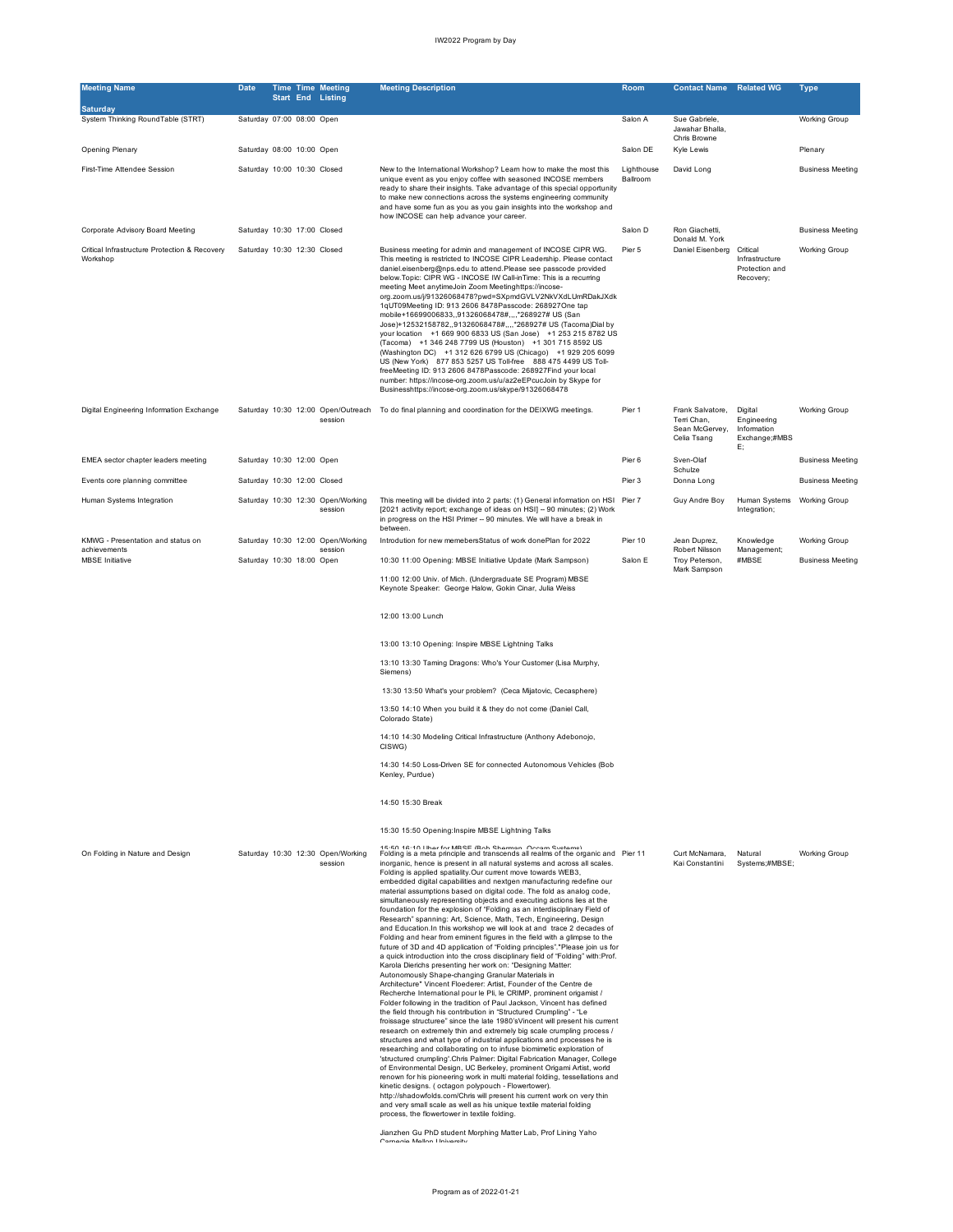| <b>Meeting Name</b>                                       | <b>Date</b>                 |  | <b>Time Time Meeting</b><br><b>Start End Listing</b> | <b>Meeting Description</b>                                                                                                                                                                                                                                                                                                                                                                                                                                                                                                                                                                                                                                                                                                                                                                                                                                                                                                                                                                                                                                                                                                                                                                                                                                                                                                                                                                                                                                                                                                                                                                                                                                                                                                                                                                                                                                                                                                                                                                                                                                                                                                                                                                                         | Room                   | <b>Contact Name</b>                                              | <b>Related WG</b>                                            | Type                    |
|-----------------------------------------------------------|-----------------------------|--|------------------------------------------------------|--------------------------------------------------------------------------------------------------------------------------------------------------------------------------------------------------------------------------------------------------------------------------------------------------------------------------------------------------------------------------------------------------------------------------------------------------------------------------------------------------------------------------------------------------------------------------------------------------------------------------------------------------------------------------------------------------------------------------------------------------------------------------------------------------------------------------------------------------------------------------------------------------------------------------------------------------------------------------------------------------------------------------------------------------------------------------------------------------------------------------------------------------------------------------------------------------------------------------------------------------------------------------------------------------------------------------------------------------------------------------------------------------------------------------------------------------------------------------------------------------------------------------------------------------------------------------------------------------------------------------------------------------------------------------------------------------------------------------------------------------------------------------------------------------------------------------------------------------------------------------------------------------------------------------------------------------------------------------------------------------------------------------------------------------------------------------------------------------------------------------------------------------------------------------------------------------------------------|------------------------|------------------------------------------------------------------|--------------------------------------------------------------|-------------------------|
| Saturday<br>System Thinking RoundTable (STRT)             | Saturday 07:00 08:00 Open   |  |                                                      |                                                                                                                                                                                                                                                                                                                                                                                                                                                                                                                                                                                                                                                                                                                                                                                                                                                                                                                                                                                                                                                                                                                                                                                                                                                                                                                                                                                                                                                                                                                                                                                                                                                                                                                                                                                                                                                                                                                                                                                                                                                                                                                                                                                                                    | Salon A                | Sue Gabriele,<br>Jawahar Bhalla,<br>Chris Browne                 |                                                              | Working Group           |
| Opening Plenary                                           | Saturday 08:00 10:00 Open   |  |                                                      |                                                                                                                                                                                                                                                                                                                                                                                                                                                                                                                                                                                                                                                                                                                                                                                                                                                                                                                                                                                                                                                                                                                                                                                                                                                                                                                                                                                                                                                                                                                                                                                                                                                                                                                                                                                                                                                                                                                                                                                                                                                                                                                                                                                                                    | Salon DE               | Kyle Lewis                                                       |                                                              | Plenary                 |
| First-Time Attendee Session                               | Saturday 10:00 10:30 Closed |  |                                                      | New to the International Workshop? Learn how to make the most this<br>unique event as you enjoy coffee with seasoned INCOSE members<br>ready to share their insights. Take advantage of this special opportunity<br>to make new connections across the systems engineering community<br>and have some fun as you as you gain insights into the workshop and<br>how INCOSE can help advance your career.                                                                                                                                                                                                                                                                                                                                                                                                                                                                                                                                                                                                                                                                                                                                                                                                                                                                                                                                                                                                                                                                                                                                                                                                                                                                                                                                                                                                                                                                                                                                                                                                                                                                                                                                                                                                            | Lighthouse<br>Ballroom | David Long                                                       |                                                              | <b>Business Meeting</b> |
| Corporate Advisory Board Meeting                          | Saturday 10:30 17:00 Closed |  |                                                      |                                                                                                                                                                                                                                                                                                                                                                                                                                                                                                                                                                                                                                                                                                                                                                                                                                                                                                                                                                                                                                                                                                                                                                                                                                                                                                                                                                                                                                                                                                                                                                                                                                                                                                                                                                                                                                                                                                                                                                                                                                                                                                                                                                                                                    | Salon D                | Ron Giachetti,<br>Donald M. York                                 |                                                              | <b>Business Meeting</b> |
| Critical Infrastructure Protection & Recovery<br>Workshop | Saturday 10:30 12:30 Closed |  |                                                      | Business meeting for admin and management of INCOSE CIPR WG.<br>This meeting is restricted to INCOSE CIPR Leadership. Please contact<br>daniel.eisenberg@nps.edu to attend.Please see passcode provided<br>below. Topic: CIPR WG - INCOSE IW Call-in Time: This is a recurring<br>meeting Meet anytimeJoin Zoom Meetinghttps://incose-<br>org.zoom.us/j/91326068478?pwd=SXpmdGVLV2NkVXdLUmRDakJXdk<br>1qUT09Meeting ID: 913 2606 8478Passcode: 268927One tap<br>mobile+16699006833,,91326068478#,,,,*268927# US (San<br>Jose)+12532158782,,91326068478#,,,,*268927# US (Tacoma)Dial by<br>your location +1 669 900 6833 US (San Jose) +1 253 215 8782 US<br>(Tacoma) +1 346 248 7799 US (Houston) +1 301 715 8592 US<br>(Washington DC) +1 312 626 6799 US (Chicago) +1 929 205 6099<br>US (New York) 877 853 5257 US Toll-free 888 475 4499 US Toll-<br>freeMeeting ID: 913 2606 8478Passcode: 268927Find your local<br>number: https://incose-org.zoom.us/u/az2eEPcucJoin by Skype for<br>Businesshttps://incose-org.zoom.us/skype/91326068478                                                                                                                                                                                                                                                                                                                                                                                                                                                                                                                                                                                                                                                                                                                                                                                                                                                                                                                                                                                                                                                                                                                                                                   | Pier 5                 | Daniel Eisenberg                                                 | Critical<br>Infrastructure<br>Protection and<br>Recovery;    | <b>Working Group</b>    |
| Digital Engineering Information Exchange                  |                             |  | session                                              | Saturday 10:30 12:00 Open/Outreach To do final planning and coordination for the DEIXWG meetings.                                                                                                                                                                                                                                                                                                                                                                                                                                                                                                                                                                                                                                                                                                                                                                                                                                                                                                                                                                                                                                                                                                                                                                                                                                                                                                                                                                                                                                                                                                                                                                                                                                                                                                                                                                                                                                                                                                                                                                                                                                                                                                                  | Pier 1                 | Frank Salvatore,<br>Terri Chan,<br>Sean McGervey,<br>Celia Tsang | Digital<br>Engineering<br>Information<br>Exchange;#MBS<br>E; | <b>Working Group</b>    |
| EMEA sector chapter leaders meeting                       | Saturday 10:30 12:00 Open   |  |                                                      |                                                                                                                                                                                                                                                                                                                                                                                                                                                                                                                                                                                                                                                                                                                                                                                                                                                                                                                                                                                                                                                                                                                                                                                                                                                                                                                                                                                                                                                                                                                                                                                                                                                                                                                                                                                                                                                                                                                                                                                                                                                                                                                                                                                                                    | Pier 6                 | Sven-Olaf                                                        |                                                              | <b>Business Meeting</b> |
| Events core planning committee                            | Saturday 10:30 12:00 Closed |  |                                                      |                                                                                                                                                                                                                                                                                                                                                                                                                                                                                                                                                                                                                                                                                                                                                                                                                                                                                                                                                                                                                                                                                                                                                                                                                                                                                                                                                                                                                                                                                                                                                                                                                                                                                                                                                                                                                                                                                                                                                                                                                                                                                                                                                                                                                    | Pier 3                 | Schulze<br>Donna Long                                            |                                                              | <b>Business Meeting</b> |
| Human Systems Integration                                 |                             |  | Saturday 10:30 12:30 Open/Working<br>session         | This meeting will be divided into 2 parts: (1) General information on HSI Pier 7<br>[2021 activity report; exchange of ideas on HSI] - 90 minutes; (2) Work<br>in progress on the HSI Primer -- 90 minutes. We will have a break in<br>between.                                                                                                                                                                                                                                                                                                                                                                                                                                                                                                                                                                                                                                                                                                                                                                                                                                                                                                                                                                                                                                                                                                                                                                                                                                                                                                                                                                                                                                                                                                                                                                                                                                                                                                                                                                                                                                                                                                                                                                    |                        | Guy Andre Boy                                                    | Human Systems Working Group<br>Integration;                  |                         |
| KMWG - Presentation and status on                         |                             |  | Saturday 10:30 12:00 Open/Working                    | Introdution for new memebersStatus of work donePlan for 2022                                                                                                                                                                                                                                                                                                                                                                                                                                                                                                                                                                                                                                                                                                                                                                                                                                                                                                                                                                                                                                                                                                                                                                                                                                                                                                                                                                                                                                                                                                                                                                                                                                                                                                                                                                                                                                                                                                                                                                                                                                                                                                                                                       | Pier 10                | Jean Duprez,                                                     | Knowledge                                                    | <b>Working Group</b>    |
| achievements<br><b>MBSE</b> Initiative                    | Saturday 10:30 18:00 Open   |  | session                                              | 10:30 11:00 Opening: MBSE Initiative Update (Mark Sampson)                                                                                                                                                                                                                                                                                                                                                                                                                                                                                                                                                                                                                                                                                                                                                                                                                                                                                                                                                                                                                                                                                                                                                                                                                                                                                                                                                                                                                                                                                                                                                                                                                                                                                                                                                                                                                                                                                                                                                                                                                                                                                                                                                         | Salon E                | Robert Nilsson<br>Troy Peterson,                                 | Management;<br>#MBSE                                         | <b>Business Meeting</b> |
|                                                           |                             |  |                                                      | 11:00 12:00 Univ. of Mich. (Undergraduate SE Program) MBSE<br>Keynote Speaker: George Halow, Gokin Cinar, Julia Weiss                                                                                                                                                                                                                                                                                                                                                                                                                                                                                                                                                                                                                                                                                                                                                                                                                                                                                                                                                                                                                                                                                                                                                                                                                                                                                                                                                                                                                                                                                                                                                                                                                                                                                                                                                                                                                                                                                                                                                                                                                                                                                              |                        | Mark Sampson                                                     |                                                              |                         |
|                                                           |                             |  |                                                      | 12:00 13:00 Lunch                                                                                                                                                                                                                                                                                                                                                                                                                                                                                                                                                                                                                                                                                                                                                                                                                                                                                                                                                                                                                                                                                                                                                                                                                                                                                                                                                                                                                                                                                                                                                                                                                                                                                                                                                                                                                                                                                                                                                                                                                                                                                                                                                                                                  |                        |                                                                  |                                                              |                         |
|                                                           |                             |  |                                                      | 13:00 13:10 Opening: Inspire MBSE Lightning Talks                                                                                                                                                                                                                                                                                                                                                                                                                                                                                                                                                                                                                                                                                                                                                                                                                                                                                                                                                                                                                                                                                                                                                                                                                                                                                                                                                                                                                                                                                                                                                                                                                                                                                                                                                                                                                                                                                                                                                                                                                                                                                                                                                                  |                        |                                                                  |                                                              |                         |
|                                                           |                             |  |                                                      | 13:10 13:30 Taming Dragons: Who's Your Customer (Lisa Murphy,<br>Siemens)                                                                                                                                                                                                                                                                                                                                                                                                                                                                                                                                                                                                                                                                                                                                                                                                                                                                                                                                                                                                                                                                                                                                                                                                                                                                                                                                                                                                                                                                                                                                                                                                                                                                                                                                                                                                                                                                                                                                                                                                                                                                                                                                          |                        |                                                                  |                                                              |                         |
|                                                           |                             |  |                                                      | 13:30 13:50 What's your problem? (Ceca Mijatovic, Cecasphere)                                                                                                                                                                                                                                                                                                                                                                                                                                                                                                                                                                                                                                                                                                                                                                                                                                                                                                                                                                                                                                                                                                                                                                                                                                                                                                                                                                                                                                                                                                                                                                                                                                                                                                                                                                                                                                                                                                                                                                                                                                                                                                                                                      |                        |                                                                  |                                                              |                         |
|                                                           |                             |  |                                                      | 13:50 14:10 When you build it & they do not come (Daniel Call,<br>Colorado State)                                                                                                                                                                                                                                                                                                                                                                                                                                                                                                                                                                                                                                                                                                                                                                                                                                                                                                                                                                                                                                                                                                                                                                                                                                                                                                                                                                                                                                                                                                                                                                                                                                                                                                                                                                                                                                                                                                                                                                                                                                                                                                                                  |                        |                                                                  |                                                              |                         |
|                                                           |                             |  |                                                      | 14:10 14:30 Modeling Critical Infrastructure (Anthony Adebonojo,<br>CISWG)                                                                                                                                                                                                                                                                                                                                                                                                                                                                                                                                                                                                                                                                                                                                                                                                                                                                                                                                                                                                                                                                                                                                                                                                                                                                                                                                                                                                                                                                                                                                                                                                                                                                                                                                                                                                                                                                                                                                                                                                                                                                                                                                         |                        |                                                                  |                                                              |                         |
|                                                           |                             |  |                                                      | 14:30 14:50 Loss-Driven SE for connected Autonomous Vehicles (Bob<br>Kenley, Purdue)                                                                                                                                                                                                                                                                                                                                                                                                                                                                                                                                                                                                                                                                                                                                                                                                                                                                                                                                                                                                                                                                                                                                                                                                                                                                                                                                                                                                                                                                                                                                                                                                                                                                                                                                                                                                                                                                                                                                                                                                                                                                                                                               |                        |                                                                  |                                                              |                         |
|                                                           |                             |  |                                                      | 14:50 15:30 Break                                                                                                                                                                                                                                                                                                                                                                                                                                                                                                                                                                                                                                                                                                                                                                                                                                                                                                                                                                                                                                                                                                                                                                                                                                                                                                                                                                                                                                                                                                                                                                                                                                                                                                                                                                                                                                                                                                                                                                                                                                                                                                                                                                                                  |                        |                                                                  |                                                              |                         |
|                                                           |                             |  |                                                      | 15:30 15:50 Opening:Inspire MBSE Lightning Talks                                                                                                                                                                                                                                                                                                                                                                                                                                                                                                                                                                                                                                                                                                                                                                                                                                                                                                                                                                                                                                                                                                                                                                                                                                                                                                                                                                                                                                                                                                                                                                                                                                                                                                                                                                                                                                                                                                                                                                                                                                                                                                                                                                   |                        |                                                                  |                                                              |                         |
| On Folding in Nature and Design                           |                             |  | Saturday 10:30 12:30 Open/Working<br>session         | 15.50 10.10 Uhasfes MDOE (Deb Ohaman, Ossam Outlama)<br>Folding is a meta principle and transcends all realms of the organic and Pier 11<br>inorganic, hence is present in all natural systems and across all scales.<br>Folding is applied spatiality. Our current move towards WEB3,<br>embedded digital capabilities and nextgen manufacturing redefine our<br>material assumptions based on digital code. The fold as analog code,<br>simultaneously representing objects and executing actions lies at the<br>foundation for the explosion of "Folding as an interdisciplinary Field of<br>Research" spanning: Art, Science, Math, Tech, Engineering, Design<br>and Education. In this workshop we will look at and trace 2 decades of<br>Folding and hear from eminent figures in the field with a glimpse to the<br>future of 3D and 4D application of "Folding principles"."Please join us for<br>a quick introduction into the cross disciplinary field of "Folding" with:Prof.<br>Karola Dierichs presenting her work on: "Designing Matter:<br>Autonomously Shape-changing Granular Materials in<br>Architecture" Vincent Floederer: Artist, Founder of the Centre de<br>Recherche International pour le Pli, le CRIMP, prominent origamist /<br>Folder following in the tradition of Paul Jackson, Vincent has defined<br>the field through his contribution in "Structured Crumpling" - "Le<br>froissage structuree" since the late 1980'sVincent will present his current<br>research on extremely thin and extremely big scale crumpling process /<br>structures and what type of industrial applications and processes he is<br>researching and collaborating on to infuse biomimetic exploration of<br>'structured crumpling'.Chris Palmer: Digital Fabrication Manager, College<br>of Environmental Design, UC Berkeley, prominent Origami Artist, world<br>renown for his pioneering work in multi material folding, tessellations and<br>kinetic designs. (octagon polypouch - Flowertower).<br>http://shadowfolds.com/Chris will present his current work on very thin<br>and very small scale as well as his unique textile material folding<br>process, the flowertower in textile folding. |                        | Curt McNamara,<br>Kai Constantini                                | Natural<br>Systems;#MBSE;                                    | <b>Working Group</b>    |
|                                                           |                             |  |                                                      | Jianzhen Gu PhD student Morphing Matter Lab, Prof Lining Yaho<br>فأمعمت والمالية والمالية وأستعره                                                                                                                                                                                                                                                                                                                                                                                                                                                                                                                                                                                                                                                                                                                                                                                                                                                                                                                                                                                                                                                                                                                                                                                                                                                                                                                                                                                                                                                                                                                                                                                                                                                                                                                                                                                                                                                                                                                                                                                                                                                                                                                  |                        |                                                                  |                                                              |                         |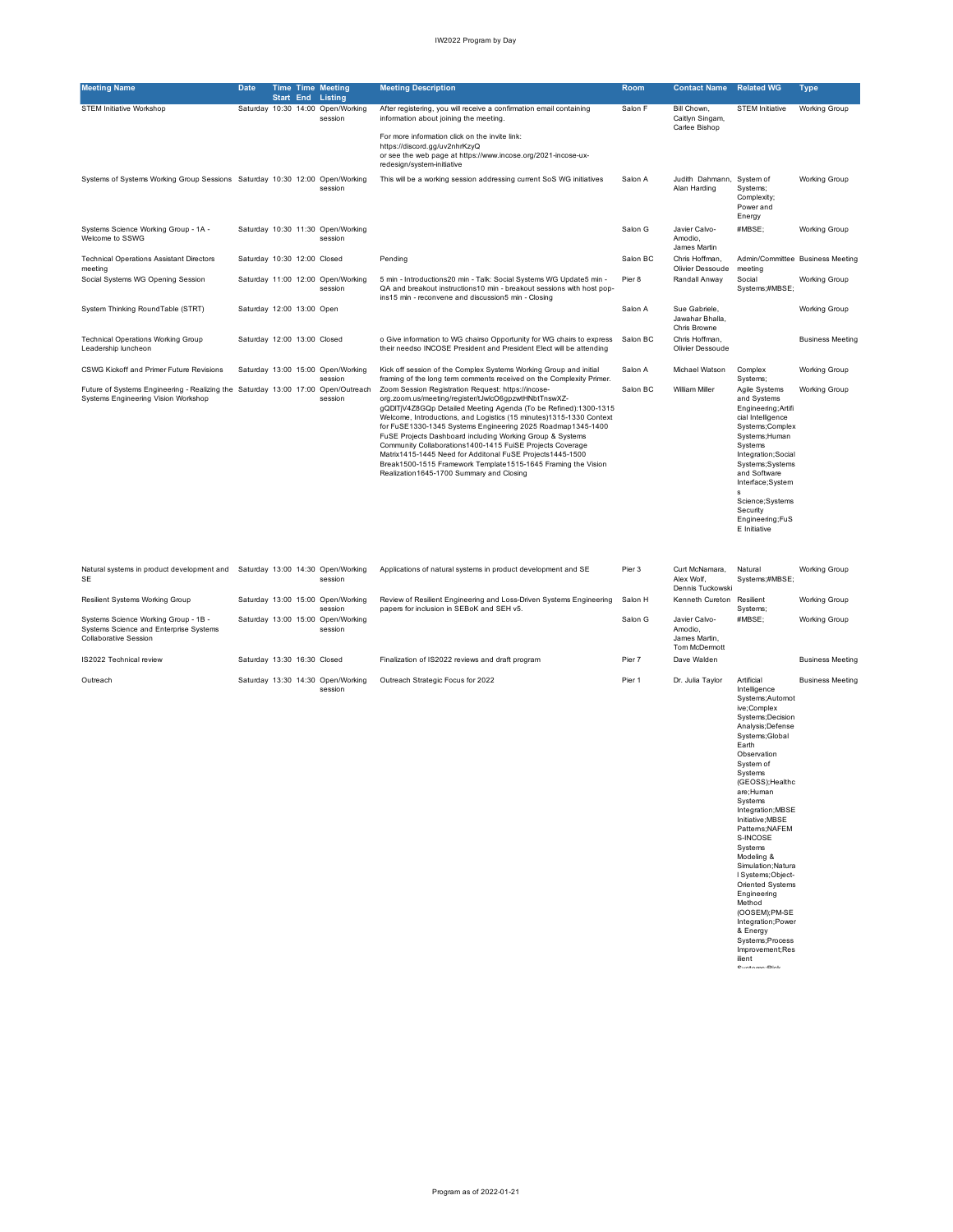| <b>Meeting Name</b>                                                                                                     | Date                        |  | <b>Time Time Meeting</b><br><b>Start End Listing</b> | <b>Meeting Description</b>                                                                                                                                                                                                                                                                                                                                                                                                                                                                                                                                                                                              | Room     | <b>Contact Name</b>                                        | <b>Related WG</b>                                                                                                                                                                                                                                                                                                                                                | Type                             |
|-------------------------------------------------------------------------------------------------------------------------|-----------------------------|--|------------------------------------------------------|-------------------------------------------------------------------------------------------------------------------------------------------------------------------------------------------------------------------------------------------------------------------------------------------------------------------------------------------------------------------------------------------------------------------------------------------------------------------------------------------------------------------------------------------------------------------------------------------------------------------------|----------|------------------------------------------------------------|------------------------------------------------------------------------------------------------------------------------------------------------------------------------------------------------------------------------------------------------------------------------------------------------------------------------------------------------------------------|----------------------------------|
| <b>STEM Initiative Workshop</b>                                                                                         |                             |  | Saturday 10:30 14:00 Open/Working<br>session         | After registering, you will receive a confirmation email containing<br>information about joining the meeting.                                                                                                                                                                                                                                                                                                                                                                                                                                                                                                           | Salon F  | Bill Chown,<br>Caitlyn Singam,<br>Carlee Bishop            | <b>STEM Initiative</b>                                                                                                                                                                                                                                                                                                                                           | <b>Working Group</b>             |
|                                                                                                                         |                             |  |                                                      | For more information click on the invite link:<br>https://discord.gg/uv2nhrKzyQ<br>or see the web page at https://www.incose.org/2021-incose-ux-<br>redesign/system-initiative                                                                                                                                                                                                                                                                                                                                                                                                                                          |          |                                                            |                                                                                                                                                                                                                                                                                                                                                                  |                                  |
| Systems of Systems Working Group Sessions Saturday 10:30 12:00 Open/Working                                             |                             |  | session                                              | This will be a working session addressing current SoS WG initiatives                                                                                                                                                                                                                                                                                                                                                                                                                                                                                                                                                    | Salon A  | Judith Dahmann, System of<br>Alan Harding                  | Systems;<br>Complexity;<br>Power and<br>Energy                                                                                                                                                                                                                                                                                                                   | Working Group                    |
| Systems Science Working Group - 1A -<br>Welcome to SSWG                                                                 |                             |  | Saturday 10:30 11:30 Open/Working<br>session         |                                                                                                                                                                                                                                                                                                                                                                                                                                                                                                                                                                                                                         | Salon G  | Javier Calvo-<br>Amodio.<br>James Martin                   | #MBSE;                                                                                                                                                                                                                                                                                                                                                           | <b>Working Group</b>             |
| <b>Technical Operations Assistant Directors</b><br>meeting                                                              | Saturday 10:30 12:00 Closed |  |                                                      | Pending                                                                                                                                                                                                                                                                                                                                                                                                                                                                                                                                                                                                                 | Salon BC | Chris Hoffman,<br>Olivier Dessoude                         | meeting                                                                                                                                                                                                                                                                                                                                                          | Admin/Committee Business Meeting |
| Social Systems WG Opening Session                                                                                       |                             |  | Saturday 11:00 12:00 Open/Working<br>session         | 5 min - Introductions20 min - Talk: Social Systems WG Update5 min -<br>QA and breakout instructions10 min - breakout sessions with host pop-<br>ins15 min - reconvene and discussion5 min - Closing                                                                                                                                                                                                                                                                                                                                                                                                                     | Pier 8   | Randall Anway                                              | Social<br>Systems;#MBSE;                                                                                                                                                                                                                                                                                                                                         | <b>Working Group</b>             |
| System Thinking RoundTable (STRT)                                                                                       | Saturday 12:00 13:00 Open   |  |                                                      |                                                                                                                                                                                                                                                                                                                                                                                                                                                                                                                                                                                                                         | Salon A  | Sue Gabriele,<br>Jawahar Bhalla,<br>Chris Browne           |                                                                                                                                                                                                                                                                                                                                                                  | Working Group                    |
| <b>Technical Operations Working Group</b><br>Leadership luncheon                                                        | Saturday 12:00 13:00 Closed |  |                                                      | o Give information to WG chairso Opportunity for WG chairs to express<br>their needso INCOSE President and President Elect will be attending                                                                                                                                                                                                                                                                                                                                                                                                                                                                            | Salon BC | Chris Hoffman,<br>Olivier Dessoude                         |                                                                                                                                                                                                                                                                                                                                                                  | <b>Business Meeting</b>          |
| CSWG Kickoff and Primer Future Revisions                                                                                |                             |  | Saturday 13:00 15:00 Open/Working<br>session         | Kick off session of the Complex Systems Working Group and initial<br>framing of the long term comments received on the Complexity Primer.                                                                                                                                                                                                                                                                                                                                                                                                                                                                               | Salon A  | Michael Watson                                             | Complex<br>Systems;                                                                                                                                                                                                                                                                                                                                              | <b>Working Group</b>             |
| Future of Systems Engineering - Realizing the Saturday 13:00 17:00 Open/Outreach<br>Systems Engineering Vision Workshop |                             |  | session                                              | Zoom Session Registration Request: https://incose-<br>org.zoom.us/meeting/register/tJwlcO6gpzwtHNbtTnswXZ-<br>gQDITjV4Z8GQp Detailed Meeting Agenda (To be Refined):1300-1315<br>Welcome, Introductions, and Logistics (15 minutes)1315-1330 Context<br>for FuSE1330-1345 Systems Engineering 2025 Roadmap1345-1400<br>FuSE Projects Dashboard including Working Group & Systems<br>Community Collaborations1400-1415 FuiSE Projects Coverage<br>Matrix1415-1445 Need for Additonal FuSE Projects1445-1500<br>Break1500-1515 Framework Template1515-1645 Framing the Vision<br>Realization1645-1700 Summary and Closing | Salon BC | <b>William Miller</b>                                      | Agile Systems<br>and Systems<br>Engineering; Artifi<br>cial Intelligence<br>Systems;Complex<br>Systems; Human<br>Systems<br>Integration; Social<br>Systems; Systems<br>and Software<br>Interface;System<br>s<br>Science; Systems<br>Security<br>Engineering;FuS<br>E Initiative                                                                                  | <b>Working Group</b>             |
| Natural systems in product development and Saturday 13:00 14:30 Open/Working<br>SE                                      |                             |  | session                                              | Applications of natural systems in product development and SE                                                                                                                                                                                                                                                                                                                                                                                                                                                                                                                                                           | Pier 3   | Curt McNamara,<br>Alex Wolf,<br>Dennis Tuckowsk            | Natural<br>Systems;#MBSE;                                                                                                                                                                                                                                                                                                                                        | <b>Working Group</b>             |
| Resilient Systems Working Group                                                                                         |                             |  | Saturday 13:00 15:00 Open/Working<br>session         | Review of Resilient Engineering and Loss-Driven Systems Engineering<br>papers for inclusion in SEBoK and SEH v5.                                                                                                                                                                                                                                                                                                                                                                                                                                                                                                        | Salon H  | Kenneth Cureton Resilient                                  | Systems;                                                                                                                                                                                                                                                                                                                                                         | Working Group                    |
| Systems Science Working Group - 1B -<br>Systems Science and Enterprise Systems<br><b>Collaborative Session</b>          |                             |  | Saturday 13:00 15:00 Open/Working<br>session         |                                                                                                                                                                                                                                                                                                                                                                                                                                                                                                                                                                                                                         | Salon G  | Javier Calvo-<br>Amodio.<br>James Martin,<br>Tom McDermott | #MBSE;                                                                                                                                                                                                                                                                                                                                                           | <b>Working Group</b>             |
| IS2022 Technical review                                                                                                 | Saturday 13:30 16:30 Closed |  |                                                      | Finalization of IS2022 reviews and draft program                                                                                                                                                                                                                                                                                                                                                                                                                                                                                                                                                                        | Pier 7   | Dave Walden                                                |                                                                                                                                                                                                                                                                                                                                                                  | <b>Business Meeting</b>          |
| Outreach                                                                                                                |                             |  | Saturday 13:30 14:30 Open/Working<br>session         | Outreach Strategic Focus for 2022                                                                                                                                                                                                                                                                                                                                                                                                                                                                                                                                                                                       | Pier 1   | Dr. Julia Taylor                                           | Artificial<br>Intelligence<br>Systems;Automot<br>ive;Complex<br>Systems; Decision<br>Analysis; Defense<br>Systems;Global<br>Earth<br>Observation<br>System of<br>Systems<br>(GEOSS); Healthc<br>are;Human<br>Systems<br>Integration; MBSE<br>Initiative; MBSE<br>Patterns;NAFEM<br>S-INCOSE<br>Systems<br>Modeling &<br>Simulation; Natura<br>I Systems; Object- | <b>Business Meeting</b>          |

l Systems;Object-<br>
Driented Systems<br>
Engineering<br>
Method<br>
(OOSEM);PM-SE<br>
Integration;Power<br>
& Energy<br>
Systems;Process<br>
Improvement;Res<br>
Contegration;<br>Contegration;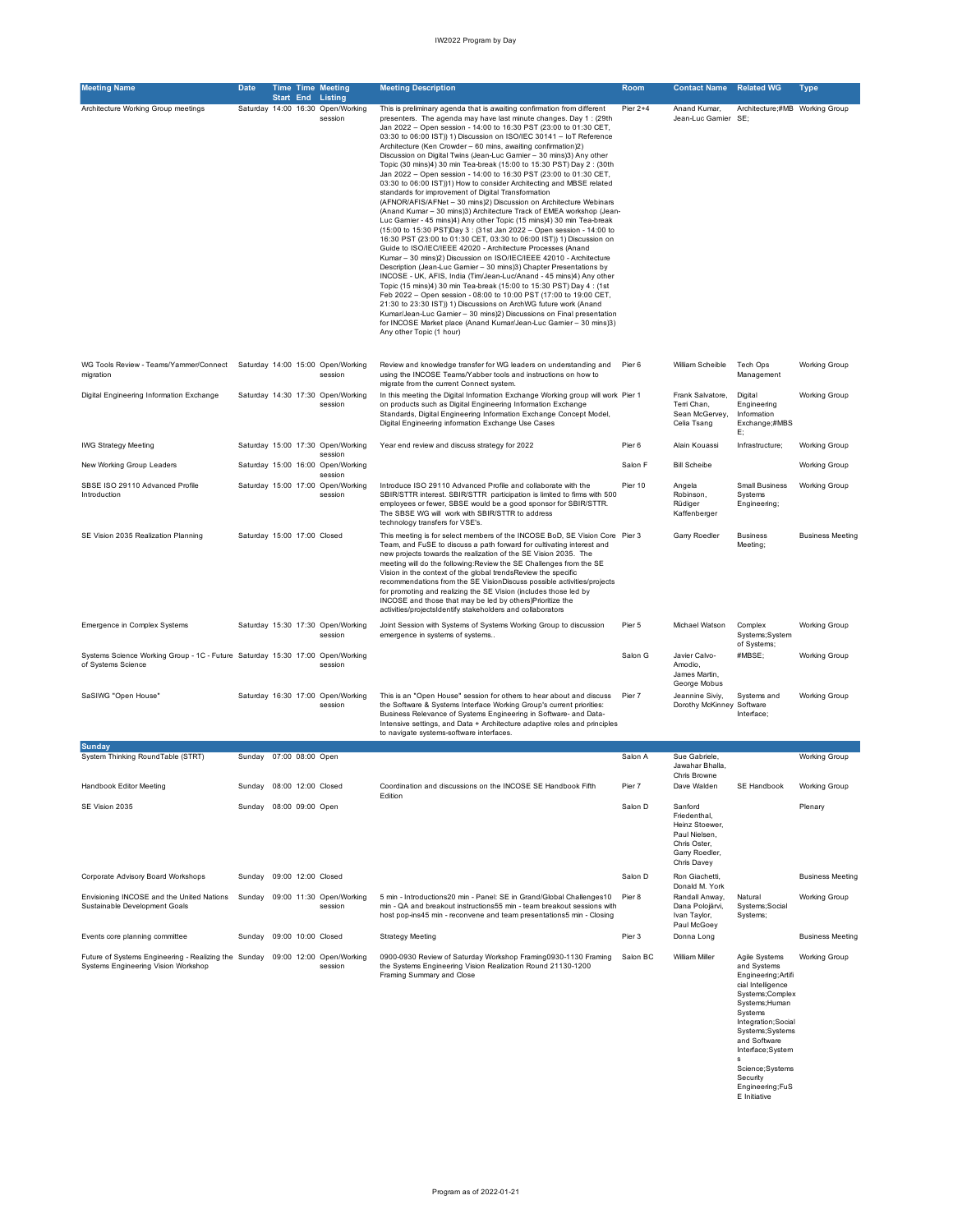| <b>Meeting Name</b>                                                                                 | <b>Date</b>                 |  | <b>Time Time Meeting</b><br><b>Start End Listing</b>    | <b>Meeting Description</b>                                                                                                                                                                                                                                                                                                                                                                                                                                                                                                                                                                                                                                                                                                                                                                                                                                                                                                                                                                                                                                                                                                                                                                                                                                                                                                                                                                                                                                                                                                                                                                                                                                                                                                                                       | Room       | <b>Contact Name</b>                                                                                         | <b>Related WG</b>                                                                                                                                                                                            | <b>Type</b>             |
|-----------------------------------------------------------------------------------------------------|-----------------------------|--|---------------------------------------------------------|------------------------------------------------------------------------------------------------------------------------------------------------------------------------------------------------------------------------------------------------------------------------------------------------------------------------------------------------------------------------------------------------------------------------------------------------------------------------------------------------------------------------------------------------------------------------------------------------------------------------------------------------------------------------------------------------------------------------------------------------------------------------------------------------------------------------------------------------------------------------------------------------------------------------------------------------------------------------------------------------------------------------------------------------------------------------------------------------------------------------------------------------------------------------------------------------------------------------------------------------------------------------------------------------------------------------------------------------------------------------------------------------------------------------------------------------------------------------------------------------------------------------------------------------------------------------------------------------------------------------------------------------------------------------------------------------------------------------------------------------------------------|------------|-------------------------------------------------------------------------------------------------------------|--------------------------------------------------------------------------------------------------------------------------------------------------------------------------------------------------------------|-------------------------|
| Architecture Working Group meetings                                                                 |                             |  | Saturday 14:00 16:30 Open/Working<br>session            | This is preliminary agenda that is awaiting confirmation from different<br>presenters. The agenda may have last minute changes. Day 1: (29th<br>Jan 2022 - Open session - 14:00 to 16:30 PST (23:00 to 01:30 CET,<br>03:30 to 06:00 IST)) 1) Discussion on ISO/IEC 30141 - IoT Reference<br>Architecture (Ken Crowder - 60 mins, awaiting confirmation)2)<br>Discussion on Digital Twins (Jean-Luc Gamier - 30 mins)3) Any other<br>Topic (30 mins)4) 30 min Tea-break (15:00 to 15:30 PST) Day 2 : (30th<br>Jan 2022 - Open session - 14:00 to 16:30 PST (23:00 to 01:30 CET,<br>03:30 to 06:00 IST))1) How to consider Architecting and MBSE related<br>standards for improvement of Digital Transformation<br>(AFNOR/AFIS/AFNet - 30 mins)2) Discussion on Architecture Webinars<br>(Anand Kumar - 30 mins)3) Architecture Track of EMEA workshop (Jean-<br>Luc Garnier - 45 mins)4) Any other Topic (15 mins)4) 30 min Tea-break<br>(15:00 to 15:30 PST)Day 3 : (31st Jan 2022 - Open session - 14:00 to<br>16:30 PST (23:00 to 01:30 CET, 03:30 to 06:00 IST)) 1) Discussion on<br>Guide to ISO/IEC/IEEE 42020 - Architecture Processes (Anand<br>Kumar - 30 mins)2) Discussion on ISO/IEC/IEEE 42010 - Architecture<br>Description (Jean-Luc Gamier - 30 mins)3) Chapter Presentations by<br>INCOSE - UK, AFIS, India (Tim/Jean-Luc/Anand - 45 mins)4) Any other<br>Topic (15 mins)4) 30 min Tea-break (15:00 to 15:30 PST) Day 4: (1st<br>Feb 2022 - Open session - 08:00 to 10:00 PST (17:00 to 19:00 CET.<br>21:30 to 23:30 IST)) 1) Discussions on ArchWG future work (Anand<br>Kumar/Jean-Luc Garnier - 30 mins)2) Discussions on Final presentation<br>for INCOSE Market place (Anand Kumar/Jean-Luc Gamier - 30 mins)3)<br>Any other Topic (1 hour) | Pier $2+4$ | Anand Kumar,<br>Jean-Luc Gamier SE;                                                                         | Architecture;#MB Working Group                                                                                                                                                                               |                         |
| WG Tools Review - Teams/Yammer/Connect Saturday 14:00 15:00 Open/Working<br>migration               |                             |  | session                                                 | Review and knowledge transfer for WG leaders on understanding and Pier 6<br>using the INCOSE Teams/Yabber tools and instructions on how to<br>migrate from the current Connect system.                                                                                                                                                                                                                                                                                                                                                                                                                                                                                                                                                                                                                                                                                                                                                                                                                                                                                                                                                                                                                                                                                                                                                                                                                                                                                                                                                                                                                                                                                                                                                                           |            | William Scheible                                                                                            | Tech Ops<br>Management                                                                                                                                                                                       | <b>Working Group</b>    |
| Digital Engineering Information Exchange                                                            |                             |  | Saturday 14:30 17:30 Open/Working<br>session            | In this meeting the Digital Information Exchange Working group will work Pier 1<br>on products such as Digital Engineering Information Exchange<br>Standards, Digital Engineering Information Exchange Concept Model,<br>Digital Engineering information Exchange Use Cases                                                                                                                                                                                                                                                                                                                                                                                                                                                                                                                                                                                                                                                                                                                                                                                                                                                                                                                                                                                                                                                                                                                                                                                                                                                                                                                                                                                                                                                                                      |            | Frank Salvatore,<br>Terri Chan,<br>Sean McGervey,<br>Celia Tsang                                            | Digital<br>Engineering<br>Information<br>Exchange;#MBS<br>Е;                                                                                                                                                 | <b>Working Group</b>    |
| <b>IWG Strategy Meeting</b>                                                                         |                             |  | Saturday 15:00 17:30 Open/Working                       | Year end review and discuss strategy for 2022                                                                                                                                                                                                                                                                                                                                                                                                                                                                                                                                                                                                                                                                                                                                                                                                                                                                                                                                                                                                                                                                                                                                                                                                                                                                                                                                                                                                                                                                                                                                                                                                                                                                                                                    | Pier 6     | Alain Kouassi                                                                                               | Infrastructure;                                                                                                                                                                                              | <b>Working Group</b>    |
| New Working Group Leaders                                                                           |                             |  | session<br>Saturday 15:00 16:00 Open/Working            |                                                                                                                                                                                                                                                                                                                                                                                                                                                                                                                                                                                                                                                                                                                                                                                                                                                                                                                                                                                                                                                                                                                                                                                                                                                                                                                                                                                                                                                                                                                                                                                                                                                                                                                                                                  | Salon F    | <b>Bill Scheibe</b>                                                                                         |                                                                                                                                                                                                              | <b>Working Group</b>    |
| SBSE ISO 29110 Advanced Profile<br>Introduction                                                     |                             |  | session<br>Saturday 15:00 17:00 Open/Working<br>session | Introduce ISO 29110 Advanced Profile and collaborate with the<br>SBIR/STTR interest. SBIR/STTR participation is limited to firms with 500<br>employees or fewer, SBSE would be a good sponsor for SBIR/STTR.<br>The SBSE WG will work with SBIR/STTR to address<br>technology transfers for VSE's.                                                                                                                                                                                                                                                                                                                                                                                                                                                                                                                                                                                                                                                                                                                                                                                                                                                                                                                                                                                                                                                                                                                                                                                                                                                                                                                                                                                                                                                               | Pier 10    | Angela<br>Robinson,<br>Rüdiger<br>Kaffenberger                                                              | <b>Small Business</b><br>Systems<br>Engineering;                                                                                                                                                             | <b>Working Group</b>    |
| SE Vision 2035 Realization Planning                                                                 | Saturday 15:00 17:00 Closed |  |                                                         | This meeting is for select members of the INCOSE BoD, SE Vision Core Pier 3<br>Team, and FuSE to discuss a path forward for cultivating interest and<br>new projects towards the realization of the SE Vision 2035. The<br>meeting will do the following: Review the SE Challenges from the SE<br>Vision in the context of the global trendsReview the specific<br>recommendations from the SE VisionDiscuss possible activities/projects<br>for promoting and realizing the SE Vision (includes those led by<br>INCOSE and those that may be led by others)Prioritize the<br>activities/projectsIdentify stakeholders and collaborators                                                                                                                                                                                                                                                                                                                                                                                                                                                                                                                                                                                                                                                                                                                                                                                                                                                                                                                                                                                                                                                                                                                         |            | Garry Roedler                                                                                               | <b>Business</b><br>Meeting;                                                                                                                                                                                  | <b>Business Meeting</b> |
| Emergence in Complex Systems                                                                        |                             |  | Saturday 15:30 17:30 Open/Working<br>session            | Joint Session with Systems of Systems Working Group to discussion<br>emergence in systems of systems                                                                                                                                                                                                                                                                                                                                                                                                                                                                                                                                                                                                                                                                                                                                                                                                                                                                                                                                                                                                                                                                                                                                                                                                                                                                                                                                                                                                                                                                                                                                                                                                                                                             | Pier 5     | Michael Watson                                                                                              | Complex<br>Systems; System<br>of Systems;                                                                                                                                                                    | <b>Working Group</b>    |
| Systems Science Working Group - 1C - Future Saturday 15:30 17:00 Open/Working<br>of Systems Science |                             |  | session                                                 |                                                                                                                                                                                                                                                                                                                                                                                                                                                                                                                                                                                                                                                                                                                                                                                                                                                                                                                                                                                                                                                                                                                                                                                                                                                                                                                                                                                                                                                                                                                                                                                                                                                                                                                                                                  | Salon G    | Javier Calvo-<br>Amodio.<br>James Martin,<br>George Mobus                                                   | #MBSE:                                                                                                                                                                                                       | <b>Working Group</b>    |
| SaSIWG "Open House"                                                                                 |                             |  | Saturday 16:30 17:00 Open/Working<br>session            | This is an "Open House" session for others to hear about and discuss<br>the Software & Systems Interface Working Group's current priorities:<br>Business Relevance of Systems Engineering in Software- and Data-<br>Intensive settings, and Data + Architecture adaptive roles and principles<br>to navigate systems-software interfaces.                                                                                                                                                                                                                                                                                                                                                                                                                                                                                                                                                                                                                                                                                                                                                                                                                                                                                                                                                                                                                                                                                                                                                                                                                                                                                                                                                                                                                        | Pier 7     | Jeannine Siviy,<br>Dorothy McKinney Software                                                                | Systems and<br>Interface;                                                                                                                                                                                    | <b>Working Group</b>    |
| Sunday<br>System Thinking RoundTable (STRT)                                                         | Sunday 07:00 08:00 Open     |  |                                                         |                                                                                                                                                                                                                                                                                                                                                                                                                                                                                                                                                                                                                                                                                                                                                                                                                                                                                                                                                                                                                                                                                                                                                                                                                                                                                                                                                                                                                                                                                                                                                                                                                                                                                                                                                                  | Salon A    | Sue Gabriele,                                                                                               |                                                                                                                                                                                                              | <b>Working Group</b>    |
|                                                                                                     |                             |  |                                                         |                                                                                                                                                                                                                                                                                                                                                                                                                                                                                                                                                                                                                                                                                                                                                                                                                                                                                                                                                                                                                                                                                                                                                                                                                                                                                                                                                                                                                                                                                                                                                                                                                                                                                                                                                                  |            | Jawahar Bhalla,<br>Chris Browne                                                                             |                                                                                                                                                                                                              |                         |
| Handbook Editor Meeting                                                                             | Sunday                      |  | 08:00 12:00 Closed                                      | Coordination and discussions on the INCOSE SE Handbook Fifth<br>Edition                                                                                                                                                                                                                                                                                                                                                                                                                                                                                                                                                                                                                                                                                                                                                                                                                                                                                                                                                                                                                                                                                                                                                                                                                                                                                                                                                                                                                                                                                                                                                                                                                                                                                          | Pier 7     | Dave Walden                                                                                                 | SE Handbook                                                                                                                                                                                                  | <b>Working Group</b>    |
| SE Vision 2035                                                                                      | Sunday 08:00 09:00 Open     |  |                                                         |                                                                                                                                                                                                                                                                                                                                                                                                                                                                                                                                                                                                                                                                                                                                                                                                                                                                                                                                                                                                                                                                                                                                                                                                                                                                                                                                                                                                                                                                                                                                                                                                                                                                                                                                                                  | Salon D    | Sanford<br>Friedenthal,<br>Heinz Stoewer,<br>Paul Nielsen,<br>Chris Oster.<br>Garry Roedler,<br>Chris Davey |                                                                                                                                                                                                              | Plenary                 |
| Corporate Advisory Board Workshops                                                                  | Sunday                      |  | 09:00 12:00 Closed                                      |                                                                                                                                                                                                                                                                                                                                                                                                                                                                                                                                                                                                                                                                                                                                                                                                                                                                                                                                                                                                                                                                                                                                                                                                                                                                                                                                                                                                                                                                                                                                                                                                                                                                                                                                                                  | Salon D    | Ron Giachetti,<br>Donald M. York                                                                            |                                                                                                                                                                                                              | <b>Business Meeting</b> |
| Envisioning INCOSE and the United Nations<br>Sustainable Development Goals                          | Sunday                      |  | 09:00 11:30 Open/Working<br>session                     | 5 min - Introductions20 min - Panel: SE in Grand/Global Challenges10<br>min - QA and breakout instructions55 min - team breakout sessions with<br>host pop-ins45 min - reconvene and team presentations5 min - Closing                                                                                                                                                                                                                                                                                                                                                                                                                                                                                                                                                                                                                                                                                                                                                                                                                                                                                                                                                                                                                                                                                                                                                                                                                                                                                                                                                                                                                                                                                                                                           | Pier 8     | Randall Anway,<br>Dana Polojärvi,<br>Ivan Taylor,                                                           | Natural<br>Systems; Social<br>Systems;                                                                                                                                                                       | <b>Working Group</b>    |
| Events core planning committee                                                                      | Sunday 09:00 10:00 Closed   |  |                                                         | <b>Strategy Meeting</b>                                                                                                                                                                                                                                                                                                                                                                                                                                                                                                                                                                                                                                                                                                                                                                                                                                                                                                                                                                                                                                                                                                                                                                                                                                                                                                                                                                                                                                                                                                                                                                                                                                                                                                                                          | Pier 3     | Paul McGoey<br>Donna Long                                                                                   |                                                                                                                                                                                                              | <b>Business Meeting</b> |
| Future of Systems Engineering - Realizing the Sunday<br>Systems Engineering Vision Workshop         |                             |  | 09:00 12:00 Open/Working<br>session                     | 0900-0930 Review of Saturday Workshop Framing0930-1130 Framing<br>the Systems Engineering Vision Realization Round 21130-1200<br>Framing Summary and Close                                                                                                                                                                                                                                                                                                                                                                                                                                                                                                                                                                                                                                                                                                                                                                                                                                                                                                                                                                                                                                                                                                                                                                                                                                                                                                                                                                                                                                                                                                                                                                                                       | Salon BC   | William Miller                                                                                              | Agile Systems<br>and Systems<br>Engineering; Artifi<br>cial Intelligence<br>Systems;Complex<br>Systems; Human<br>Systems<br>Integration; Social<br>Systems; Systems<br>and Software<br>Interface;System<br>s | <b>Working Group</b>    |

s Science;Systems Security Engineering;FuS E Initiative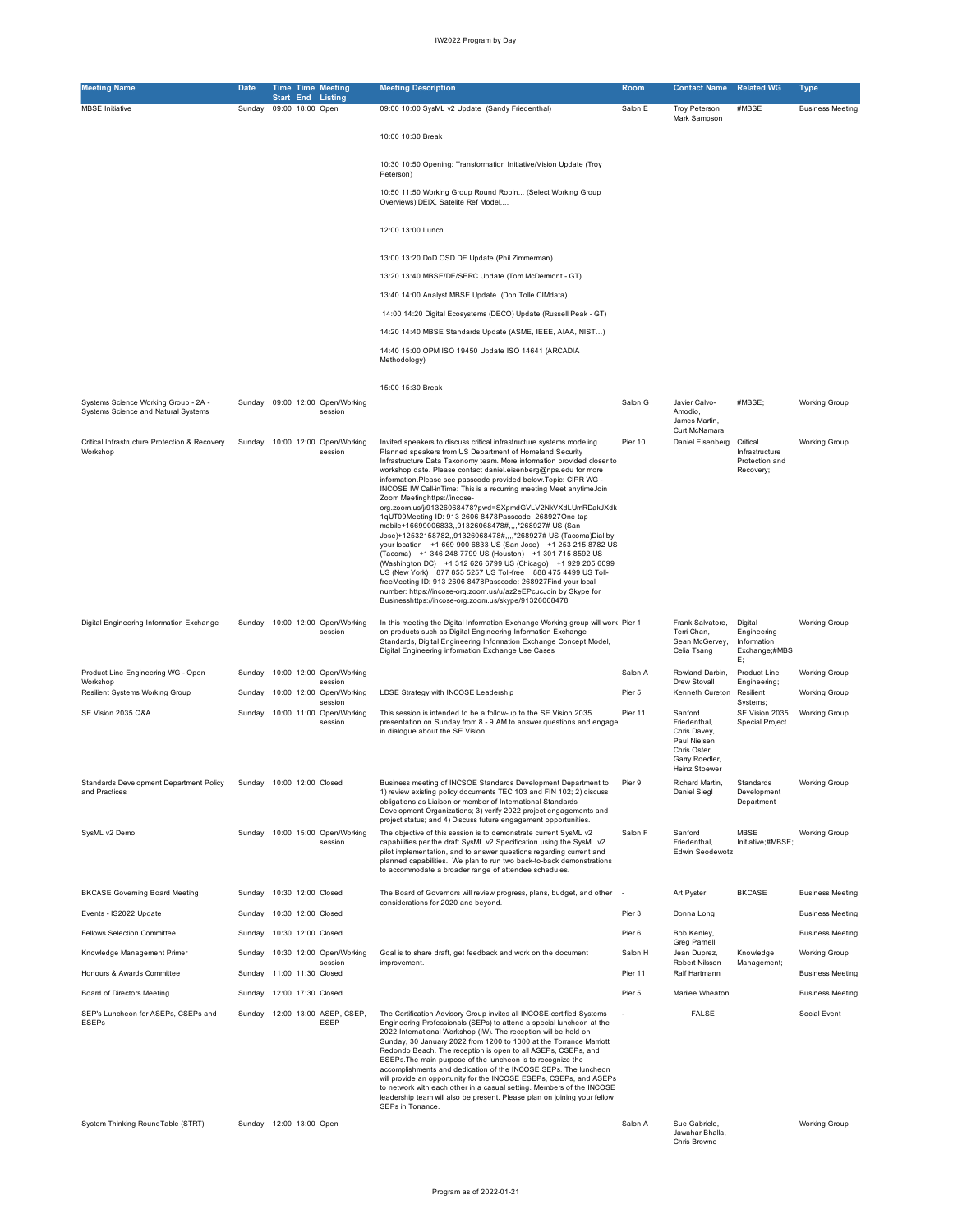| <b>Meeting Name</b>                                                         | <b>Date</b> | <b>Time Time Meeting</b>                              | <b>Meeting Description</b>                                                                                                                                                                                                                                                                                                                                                                                                                                                                                                                                                                                                                  | <b>Room</b> | <b>Contact Name</b>                                                      | <b>Related WG</b>                                            | Type                    |
|-----------------------------------------------------------------------------|-------------|-------------------------------------------------------|---------------------------------------------------------------------------------------------------------------------------------------------------------------------------------------------------------------------------------------------------------------------------------------------------------------------------------------------------------------------------------------------------------------------------------------------------------------------------------------------------------------------------------------------------------------------------------------------------------------------------------------------|-------------|--------------------------------------------------------------------------|--------------------------------------------------------------|-------------------------|
| <b>MBSE</b> Initiative                                                      | Sunday      | <b>Start End Listing</b><br>09:00 18:00 Open          | 09:00 10:00 SysML v2 Update (Sandy Friedenthal)                                                                                                                                                                                                                                                                                                                                                                                                                                                                                                                                                                                             | Salon E     | Troy Peterson,                                                           | #MBSE                                                        | <b>Business Meeting</b> |
|                                                                             |             |                                                       | 10:00 10:30 Break                                                                                                                                                                                                                                                                                                                                                                                                                                                                                                                                                                                                                           |             | Mark Sampson                                                             |                                                              |                         |
|                                                                             |             |                                                       | 10:30 10:50 Opening: Transformation Initiative/Vision Update (Troy<br>Peterson)                                                                                                                                                                                                                                                                                                                                                                                                                                                                                                                                                             |             |                                                                          |                                                              |                         |
|                                                                             |             |                                                       | 10:50 11:50 Working Group Round Robin (Select Working Group<br>Overviews) DEIX, Satelite Ref Model,                                                                                                                                                                                                                                                                                                                                                                                                                                                                                                                                         |             |                                                                          |                                                              |                         |
|                                                                             |             |                                                       | 12:00 13:00 Lunch                                                                                                                                                                                                                                                                                                                                                                                                                                                                                                                                                                                                                           |             |                                                                          |                                                              |                         |
|                                                                             |             |                                                       | 13:00 13:20 DoD OSD DE Update (Phil Zimmerman)                                                                                                                                                                                                                                                                                                                                                                                                                                                                                                                                                                                              |             |                                                                          |                                                              |                         |
|                                                                             |             |                                                       | 13:20 13:40 MBSE/DE/SERC Update (Tom McDermont - GT)                                                                                                                                                                                                                                                                                                                                                                                                                                                                                                                                                                                        |             |                                                                          |                                                              |                         |
|                                                                             |             |                                                       | 13:40 14:00 Analyst MBSE Update (Don Tolle CIMdata)                                                                                                                                                                                                                                                                                                                                                                                                                                                                                                                                                                                         |             |                                                                          |                                                              |                         |
|                                                                             |             |                                                       | 14:00 14:20 Digital Ecosystems (DECO) Update (Russell Peak - GT)                                                                                                                                                                                                                                                                                                                                                                                                                                                                                                                                                                            |             |                                                                          |                                                              |                         |
|                                                                             |             |                                                       | 14:20 14:40 MBSE Standards Update (ASME, IEEE, AIAA, NIST)                                                                                                                                                                                                                                                                                                                                                                                                                                                                                                                                                                                  |             |                                                                          |                                                              |                         |
|                                                                             |             |                                                       | 14:40 15:00 OPM ISO 19450 Update ISO 14641 (ARCADIA<br>Methodology)                                                                                                                                                                                                                                                                                                                                                                                                                                                                                                                                                                         |             |                                                                          |                                                              |                         |
|                                                                             |             |                                                       | 15:00 15:30 Break                                                                                                                                                                                                                                                                                                                                                                                                                                                                                                                                                                                                                           |             |                                                                          |                                                              |                         |
| Systems Science Working Group - 2A -<br>Systems Science and Natural Systems | Sundav      | 09:00 12:00 Open/Working<br>session                   |                                                                                                                                                                                                                                                                                                                                                                                                                                                                                                                                                                                                                                             | Salon G     | Javier Calvo-<br>Amodio,<br>James Martin,<br>Curt McNamara               | #MBSE:                                                       | <b>Working Group</b>    |
| Critical Infrastructure Protection & Recovery<br>Workshop                   | Sunday      | 10:00 12:00 Open/Working<br>session                   | Invited speakers to discuss critical infrastructure systems modeling.<br>Planned speakers from US Department of Homeland Security<br>Infrastructure Data Taxonomy team. More information provided closer to<br>workshop date. Please contact daniel.eisenberg@nps.edu for more<br>information.Please see passcode provided below.Topic: CIPR WG -<br>INCOSE IW Call-inTime: This is a recurring meeting Meet anytimeJoin<br>Zoom Meetinghttps://incose-<br>org.zoom.us/j/91326068478?pwd=SXpmdGVLV2NkVXdLUmRDakJXdk<br>1qUT09Meeting ID: 913 2606 8478Passcode: 268927One tap                                                               | Pier 10     | Daniel Eisenberg                                                         | Critical<br>Infrastructure<br>Protection and<br>Recovery;    | <b>Working Group</b>    |
|                                                                             |             |                                                       | mobile+16699006833,,91326068478#,,,,*268927# US (San<br>Jose)+12532158782,,91326068478#,,,,*268927# US (Tacoma)Dial by<br>your location +1 669 900 6833 US (San Jose) +1 253 215 8782 US<br>(Tacoma) +1 346 248 7799 US (Houston) +1 301 715 8592 US<br>(Washington DC) +1 312 626 6799 US (Chicago) +1 929 205 6099<br>US (New York) 877 853 5257 US Toll-free 888 475 4499 US Toll-<br>freeMeeting ID: 913 2606 8478Passcode: 268927Find your local<br>number: https://incose-org.zoom.us/u/az2eEPcucJoin by Skype for<br>Businesshttps://incose-org.zoom.us/skype/91326068478                                                            |             |                                                                          |                                                              |                         |
| Digital Engineering Information Exchange                                    |             | Sunday 10:00 12:00 Open/Working<br>session            | In this meeting the Digital Information Exchange Working group will work Pier 1<br>on products such as Digital Engineering Information Exchange<br>Standards, Digital Engineering Information Exchange Concept Model,<br>Digital Engineering information Exchange Use Cases                                                                                                                                                                                                                                                                                                                                                                 |             | Frank Salvatore,<br>Terri Chan,<br>Sean McGervey,<br>Celia Tsang         | Digital<br>Engineering<br>Information<br>Exchange;#MBS<br>E; | <b>Working Group</b>    |
| Product Line Engineering WG - Open                                          | Sundav      | 10:00 12:00 Open/Working                              |                                                                                                                                                                                                                                                                                                                                                                                                                                                                                                                                                                                                                                             | Salon A     | Rowland Darbin,                                                          | Product Line                                                 | <b>Working Group</b>    |
| Workshop<br>Resilient Systems Working Group                                 | Sunday      | session<br>10:00 12:00 Open/Working                   | LDSE Strategy with INCOSE Leadership                                                                                                                                                                                                                                                                                                                                                                                                                                                                                                                                                                                                        | Pier 5      | Drew Stovall<br>Kenneth Cureton                                          | Engineering;<br>Resilient                                    | <b>Working Group</b>    |
| SE Vision 2035 Q&A                                                          |             | session<br>Sunday 10:00 11:00 Open/Working<br>session | This session is intended to be a follow-up to the SE Vision 2035<br>presentation on Sunday from 8 - 9 AM to answer questions and engage<br>in dialogue about the SE Vision                                                                                                                                                                                                                                                                                                                                                                                                                                                                  | Pier 11     | Sanford<br>Friedenthal,<br>Chris Davey,<br>Paul Nielsen,<br>Chris Oster, | Systems;<br>SE Vision 2035<br>Special Project                | <b>Working Group</b>    |
|                                                                             |             |                                                       |                                                                                                                                                                                                                                                                                                                                                                                                                                                                                                                                                                                                                                             |             | Garry Roedler,<br>Heinz Stoewer                                          |                                                              |                         |
| Standards Development Department Policy<br>and Practices                    |             | Sunday 10:00 12:00 Closed                             | Business meeting of INCSOE Standards Development Department to:<br>1) review existing policy documents TEC 103 and FIN 102; 2) discuss<br>obligations as Liaison or member of International Standards<br>Development Organizations; 3) verify 2022 project engagements and<br>project status; and 4) Discuss future engagement opportunities.                                                                                                                                                                                                                                                                                               | Pier 9      | Richard Martin,<br>Daniel Siegl                                          | Standards<br>Development<br>Department                       | <b>Working Group</b>    |
| SysML v2 Demo                                                               | Sunday      | 10:00 15:00 Open/Working                              | The objective of this session is to demonstrate current SysML v2                                                                                                                                                                                                                                                                                                                                                                                                                                                                                                                                                                            | Salon F     | Sanford                                                                  | MBSE                                                         | Working Group           |
|                                                                             |             | session                                               | capabilities per the draft SysML v2 Specification using the SysML v2<br>pilot implementation, and to answer questions regarding current and<br>planned capabilities We plan to run two back-to-back demonstrations<br>to accommodate a broader range of attendee schedules.                                                                                                                                                                                                                                                                                                                                                                 |             | Friedenthal,<br>Edwin Seodewotz                                          | Initiative;#MBSE;                                            |                         |
| <b>BKCASE Governing Board Meeting</b>                                       | Sunday      | 10:30 12:00 Closed                                    | The Board of Governors will review progress, plans, budget, and other -                                                                                                                                                                                                                                                                                                                                                                                                                                                                                                                                                                     |             | Art Pyster                                                               | <b>BKCASE</b>                                                | <b>Business Meeting</b> |
| Events - IS2022 Update                                                      | Sunday      | 10:30 12:00 Closed                                    | considerations for 2020 and beyond.                                                                                                                                                                                                                                                                                                                                                                                                                                                                                                                                                                                                         | Pier 3      | Donna Long                                                               |                                                              | <b>Business Meeting</b> |
| <b>Fellows Selection Committee</b>                                          | Sunday      | 10:30 12:00 Closed                                    |                                                                                                                                                                                                                                                                                                                                                                                                                                                                                                                                                                                                                                             | Pier 6      | Bob Kenley,                                                              |                                                              | <b>Business Meeting</b> |
| Knowledge Management Primer                                                 | Sunday      | 10:30 12:00 Open/Working                              | Goal is to share draft, get feedback and work on the document                                                                                                                                                                                                                                                                                                                                                                                                                                                                                                                                                                               | Salon H     | Greg Parnell<br>Jean Duprez,                                             | Knowledge                                                    | <b>Working Group</b>    |
| Honours & Awards Committee                                                  | Sunday      | session<br>11:00 11:30 Closed                         | improvement.                                                                                                                                                                                                                                                                                                                                                                                                                                                                                                                                                                                                                                | Pier 11     | Robert Nilsson<br>Ralf Hartmann                                          | Management;                                                  | <b>Business Meeting</b> |
| Board of Directors Meeting                                                  | Sunday      | 12:00 17:30 Closed                                    |                                                                                                                                                                                                                                                                                                                                                                                                                                                                                                                                                                                                                                             | Pier 5      | Marilee Wheaton                                                          |                                                              | <b>Business Meeting</b> |
| SEP's Luncheon for ASEPs, CSEPs and                                         | Sunday      | 12:00 13:00 ASEP, CSEP,                               | The Certification Advisory Group invites all INCOSE-certified Systems                                                                                                                                                                                                                                                                                                                                                                                                                                                                                                                                                                       | $\sim$      | <b>FALSE</b>                                                             |                                                              | Social Event            |
| <b>ESEPs</b>                                                                |             | <b>ESEP</b>                                           | Engineering Professionals (SEPs) to attend a special luncheon at the<br>2022 International Workshop (IW). The reception will be held on<br>Sunday, 30 January 2022 from 1200 to 1300 at the Torrance Marriott<br>Redondo Beach. The reception is open to all ASEPs, CSEPs, and<br>ESEPs. The main purpose of the luncheon is to recognize the<br>accomplishments and dedication of the INCOSE SEPs. The luncheon<br>will provide an opportunity for the INCOSE ESEPs, CSEPs, and ASEPs<br>to network with each other in a casual setting. Members of the INCOSE<br>leadership team will also be present. Please plan on joining your fellow |             |                                                                          |                                                              |                         |
| System Thinking RoundTable (STRT)                                           |             | Sunday 12:00 13:00 Open                               | SEPs in Torrance.                                                                                                                                                                                                                                                                                                                                                                                                                                                                                                                                                                                                                           | Salon A     | Sue Gabriele,<br>Jawahar Bhalla,<br>Chris Browne                         |                                                              | Working Group           |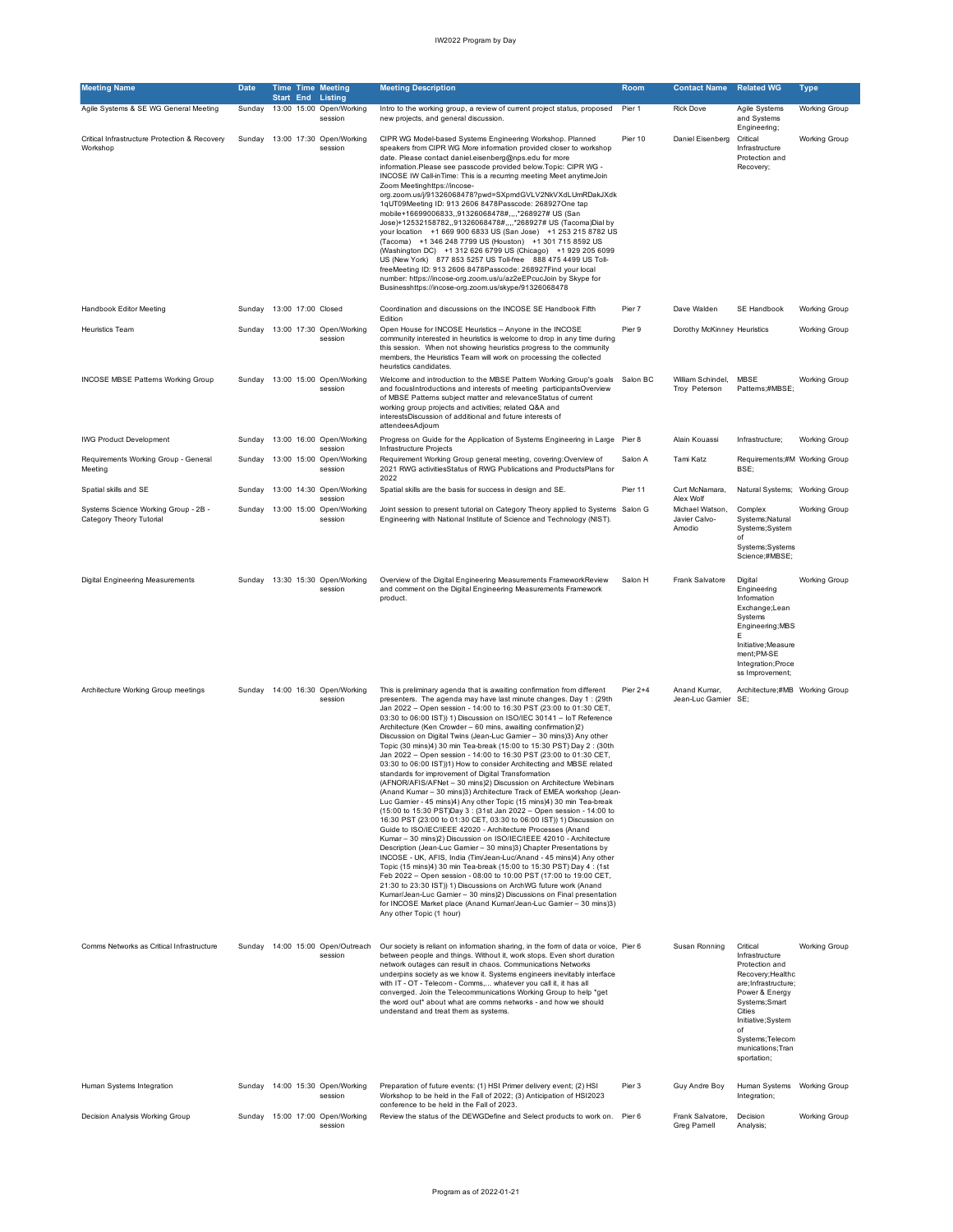| <b>Meeting Name</b>                                              | <b>Date</b> |                    | <b>Time Time Meeting</b>                                        | <b>Meeting Description</b>                                                                                                                                                                                                                                                                                                                                                                                                                                                                                                                                                                                                                                                                                                                                                                                                                                                                                                                                                                                                                                                                                                                                                                                                                                                                                                                                                                                                                                                                                                                                                                                                                                                                                                                                        | Room     | <b>Contact Name</b>                                     | <b>Related WG</b>                                                                                                                                                                                                          | Type                 |
|------------------------------------------------------------------|-------------|--------------------|-----------------------------------------------------------------|-------------------------------------------------------------------------------------------------------------------------------------------------------------------------------------------------------------------------------------------------------------------------------------------------------------------------------------------------------------------------------------------------------------------------------------------------------------------------------------------------------------------------------------------------------------------------------------------------------------------------------------------------------------------------------------------------------------------------------------------------------------------------------------------------------------------------------------------------------------------------------------------------------------------------------------------------------------------------------------------------------------------------------------------------------------------------------------------------------------------------------------------------------------------------------------------------------------------------------------------------------------------------------------------------------------------------------------------------------------------------------------------------------------------------------------------------------------------------------------------------------------------------------------------------------------------------------------------------------------------------------------------------------------------------------------------------------------------------------------------------------------------|----------|---------------------------------------------------------|----------------------------------------------------------------------------------------------------------------------------------------------------------------------------------------------------------------------------|----------------------|
| Agile Systems & SE WG General Meeting                            | Sunday      |                    | <b>Start End Listing</b><br>13:00 15:00 Open/Working<br>session | Intro to the working group, a review of current project status, proposed<br>new projects, and general discussion.                                                                                                                                                                                                                                                                                                                                                                                                                                                                                                                                                                                                                                                                                                                                                                                                                                                                                                                                                                                                                                                                                                                                                                                                                                                                                                                                                                                                                                                                                                                                                                                                                                                 | Pier 1   | <b>Rick Dove</b>                                        | Agile Systems<br>and Systems                                                                                                                                                                                               | <b>Working Group</b> |
| Critical Infrastructure Protection & Recovery<br>Workshop        | Sunday      |                    | 13:00 17:30 Open/Working<br>session                             | CIPR WG Model-based Systems Engineering Workshop. Planned<br>speakers from CIPR WG More information provided closer to workshop<br>date. Please contact daniel.eisenberg@nps.edu for more<br>information.Please see passcode provided below.Topic: CIPR WG -<br>INCOSE IW Call-inTime: This is a recurring meeting Meet anytimeJoin<br>Zoom Meetinghttps://incose-<br>org.zoom.us/j/91326068478?pwd=SXpmdGVLV2NkVXdLUmRDakJXdk<br>1qUT09Meeting ID: 913 2606 8478Passcode: 268927One tap<br>mobile+16699006833,,91326068478#,,,,*268927# US (San<br>Jose)+12532158782,,91326068478#,,,,*268927# US (Tacoma)Dial by<br>your location +1 669 900 6833 US (San Jose) +1 253 215 8782 US<br>(Tacoma) +1 346 248 7799 US (Houston) +1 301 715 8592 US<br>(Washington DC) +1 312 626 6799 US (Chicago) +1 929 205 6099<br>US (New York) 877 853 5257 US Toll-free 888 475 4499 US Toll-<br>freeMeeting ID: 913 2606 8478Passcode: 268927Find your local<br>number: https://incose-org.zoom.us/u/az2eEPcucJoin by Skype for<br>Businesshttps://incose-org.zoom.us/skype/91326068478                                                                                                                                                                                                                                                                                                                                                                                                                                                                                                                                                                                                                                                                                      | Pier 10  | Daniel Eisenberg                                        | Engineering;<br>Critical<br>Infrastructure<br>Protection and<br>Recovery;                                                                                                                                                  | <b>Working Group</b> |
| Handbook Editor Meeting                                          | Sunday      | 13:00 17:00 Closed |                                                                 | Coordination and discussions on the INCOSE SE Handbook Fifth                                                                                                                                                                                                                                                                                                                                                                                                                                                                                                                                                                                                                                                                                                                                                                                                                                                                                                                                                                                                                                                                                                                                                                                                                                                                                                                                                                                                                                                                                                                                                                                                                                                                                                      | Pier 7   | Dave Walden                                             | SE Handbook                                                                                                                                                                                                                | <b>Working Group</b> |
| Heuristics Team                                                  | Sunday      |                    | 13:00 17:30 Open/Working<br>session                             | Edition<br>Open House for INCOSE Heuristics -- Anyone in the INCOSE<br>community interested in heuristics is welcome to drop in any time during<br>this session. When not showing heuristics progress to the community<br>members, the Heuristics Team will work on processing the collected<br>heuristics candidates.                                                                                                                                                                                                                                                                                                                                                                                                                                                                                                                                                                                                                                                                                                                                                                                                                                                                                                                                                                                                                                                                                                                                                                                                                                                                                                                                                                                                                                            | Pier 9   | Dorothy McKinney Heuristics                             |                                                                                                                                                                                                                            | <b>Working Group</b> |
| <b>INCOSE MBSE Patterns Working Group</b>                        | Sunday      |                    | 13:00 15:00 Open/Working<br>session                             | Welcome and introduction to the MBSE Pattern Working Group's goals<br>and focusIntroductions and interests of meeting participantsOverview<br>of MBSE Patterns subject matter and relevanceStatus of current<br>working group projects and activities; related Q&A and<br>interestsDiscussion of additional and future interests of<br>attendeesAdjourn                                                                                                                                                                                                                                                                                                                                                                                                                                                                                                                                                                                                                                                                                                                                                                                                                                                                                                                                                                                                                                                                                                                                                                                                                                                                                                                                                                                                           | Salon BC | William Schindel,<br>Troy Peterson                      | <b>MBSE</b><br>Patterns;#MBSE;                                                                                                                                                                                             | <b>Working Group</b> |
| <b>IWG Product Development</b>                                   | Sunday      |                    | 13:00 16:00 Open/Working<br>session                             | Progress on Guide for the Application of Systems Engineering in Large Pier 8<br>Infrastructure Projects                                                                                                                                                                                                                                                                                                                                                                                                                                                                                                                                                                                                                                                                                                                                                                                                                                                                                                                                                                                                                                                                                                                                                                                                                                                                                                                                                                                                                                                                                                                                                                                                                                                           |          | Alain Kouassi                                           | Infrastructure;                                                                                                                                                                                                            | <b>Working Group</b> |
| Requirements Working Group - General<br>Meeting                  | Sundav      |                    | 13:00 15:00 Open/Working<br>session                             | Requirement Working Group general meeting, covering: Overview of<br>2021 RWG activitiesStatus of RWG Publications and ProductsPlans for<br>2022                                                                                                                                                                                                                                                                                                                                                                                                                                                                                                                                                                                                                                                                                                                                                                                                                                                                                                                                                                                                                                                                                                                                                                                                                                                                                                                                                                                                                                                                                                                                                                                                                   | Salon A  | Tami Katz                                               | Requirements;#M Working Group<br>BSE:                                                                                                                                                                                      |                      |
| Spatial skills and SE                                            | Sundav      |                    | 13:00 14:30 Open/Working                                        | Spatial skills are the basis for success in design and SE.                                                                                                                                                                                                                                                                                                                                                                                                                                                                                                                                                                                                                                                                                                                                                                                                                                                                                                                                                                                                                                                                                                                                                                                                                                                                                                                                                                                                                                                                                                                                                                                                                                                                                                        | Pier 11  | Curt McNamara,                                          | Natural Systems; Working Group                                                                                                                                                                                             |                      |
| Systems Science Working Group - 2B -<br>Category Theory Tutorial | Sunday      |                    | session<br>13:00 15:00 Open/Working<br>session                  | Joint session to present tutorial on Category Theory applied to Systems Salon G<br>Engineering with National Institute of Science and Technology (NIST).                                                                                                                                                                                                                                                                                                                                                                                                                                                                                                                                                                                                                                                                                                                                                                                                                                                                                                                                                                                                                                                                                                                                                                                                                                                                                                                                                                                                                                                                                                                                                                                                          |          | Alex Wolf<br>Michael Watson,<br>Javier Calvo-<br>Amodio | Complex<br>Systems; Natural<br>Systems;System<br>of<br>Systems; Systems<br>Science;#MBSE;                                                                                                                                  | <b>Working Group</b> |
| Digital Engineering Measurements                                 |             |                    | Sunday 13:30 15:30 Open/Working<br>session                      | Overview of the Digital Engineering Measurements FrameworkReview<br>and comment on the Digital Engineering Measurements Framework<br>product.                                                                                                                                                                                                                                                                                                                                                                                                                                                                                                                                                                                                                                                                                                                                                                                                                                                                                                                                                                                                                                                                                                                                                                                                                                                                                                                                                                                                                                                                                                                                                                                                                     | Salon H  | Frank Salvatore                                         | Digital<br>Engineering<br>Information<br>Exchange;Lean<br>Systems<br>Engineering; MBS<br>E<br>Initiative; Measure<br>ment;PM-SE<br>Integration; Proce<br>ss Improvement;                                                   | <b>Working Group</b> |
| Architecture Working Group meetings                              | Sunday      |                    | 14:00 16:30 Open/Working<br>session                             | This is preliminary agenda that is awaiting confirmation from different<br>presenters. The agenda may have last minute changes. Day 1: (29th<br>Jan 2022 - Open session - 14:00 to 16:30 PST (23:00 to 01:30 CET,<br>03:30 to 06:00 IST)) 1) Discussion on ISO/IEC 30141 - IoT Reference<br>Architecture (Ken Crowder - 60 mins, awaiting confirmation)2)<br>Discussion on Digital Twins (Jean-Luc Garnier - 30 mins)3) Any other<br>Topic (30 mins)4) 30 min Tea-break (15:00 to 15:30 PST) Day 2 : (30th<br>Jan 2022 - Open session - 14:00 to 16:30 PST (23:00 to 01:30 CET,<br>03:30 to 06:00 IST))1) How to consider Architecting and MBSE related<br>standards for improvement of Digital Transformation<br>(AFNOR/AFIS/AFNet - 30 mins)2) Discussion on Architecture Webinars<br>(Anand Kumar - 30 mins)3) Architecture Track of EMEA workshop (Jean-<br>Luc Garnier - 45 mins)4) Any other Topic (15 mins)4) 30 min Tea-break<br>(15:00 to 15:30 PST)Day 3 : (31st Jan 2022 - Open session - 14:00 to<br>16:30 PST (23:00 to 01:30 CET, 03:30 to 06:00 IST)) 1) Discussion on<br>Guide to ISO/IEC/IEEE 42020 - Architecture Processes (Anand<br>Kumar - 30 mins)2) Discussion on ISO/IEC/IEEE 42010 - Architecture<br>Description (Jean-Luc Gamier - 30 mins)3) Chapter Presentations by<br>INCOSE - UK, AFIS, India (Tim/Jean-Luc/Anand - 45 mins)4) Any other<br>Topic (15 mins)4) 30 min Tea-break (15:00 to 15:30 PST) Day 4: (1st<br>Feb 2022 - Open session - 08:00 to 10:00 PST (17:00 to 19:00 CET,<br>21:30 to 23:30 IST)) 1) Discussions on ArchWG future work (Anand<br>Kumar/Jean-Luc Garnier - 30 mins)2) Discussions on Final presentation<br>for INCOSE Market place (Anand Kumar/Jean-Luc Gamier - 30 mins)3)<br>Any other Topic (1 hour) | Pier 2+4 | Anand Kumar,<br>Jean-Luc Gamier                         | Architecture;#MB Working Group<br>SE:                                                                                                                                                                                      |                      |
| Comms Networks as Critical Infrastructure                        |             |                    | Sunday 14:00 15:00 Open/Outreach<br>session                     | Our society is reliant on information sharing, in the form of data or voice, Pier 6<br>between people and things. Without it, work stops. Even short duration<br>network outages can result in chaos. Communications Networks<br>underpins society as we know it. Systems engineers inevitably interface<br>with IT - OT - Telecom - Comms, whatever you call it, it has all<br>converged. Join the Telecommunications Working Group to help *get<br>the word out* about what are comms networks - and how we should<br>understand and treat them as systems.                                                                                                                                                                                                                                                                                                                                                                                                                                                                                                                                                                                                                                                                                                                                                                                                                                                                                                                                                                                                                                                                                                                                                                                                     |          | Susan Ronning                                           | Critical<br>Infrastructure<br>Protection and<br>Recovery; Healthc<br>are; Infrastructure;<br>Power & Energy<br>Systems; Smart<br>Cities<br>Initiative;System<br>of<br>Systems; Telecom<br>munications; Tran<br>sportation; | <b>Working Group</b> |
| Human Systems Integration                                        |             |                    | Sunday 14:00 15:30 Open/Working<br>session                      | Preparation of future events: (1) HSI Primer delivery event; (2) HSI<br>Workshop to be held in the Fall of 2022; (3) Anticipation of HSI2023<br>conference to be held in the Fall of 2023.                                                                                                                                                                                                                                                                                                                                                                                                                                                                                                                                                                                                                                                                                                                                                                                                                                                                                                                                                                                                                                                                                                                                                                                                                                                                                                                                                                                                                                                                                                                                                                        | Pier 3   | Guy Andre Boy                                           | Human Systems Working Group<br>Integration;                                                                                                                                                                                |                      |
| Decision Analysis Working Group                                  | Sunday      |                    | 15:00 17:00 Open/Working<br>session                             | Review the status of the DEWGDefine and Select products to work on.                                                                                                                                                                                                                                                                                                                                                                                                                                                                                                                                                                                                                                                                                                                                                                                                                                                                                                                                                                                                                                                                                                                                                                                                                                                                                                                                                                                                                                                                                                                                                                                                                                                                                               | Pier 6   | Frank Salvatore,<br>Greg Parnell                        | Decision<br>Analysis;                                                                                                                                                                                                      | <b>Working Group</b> |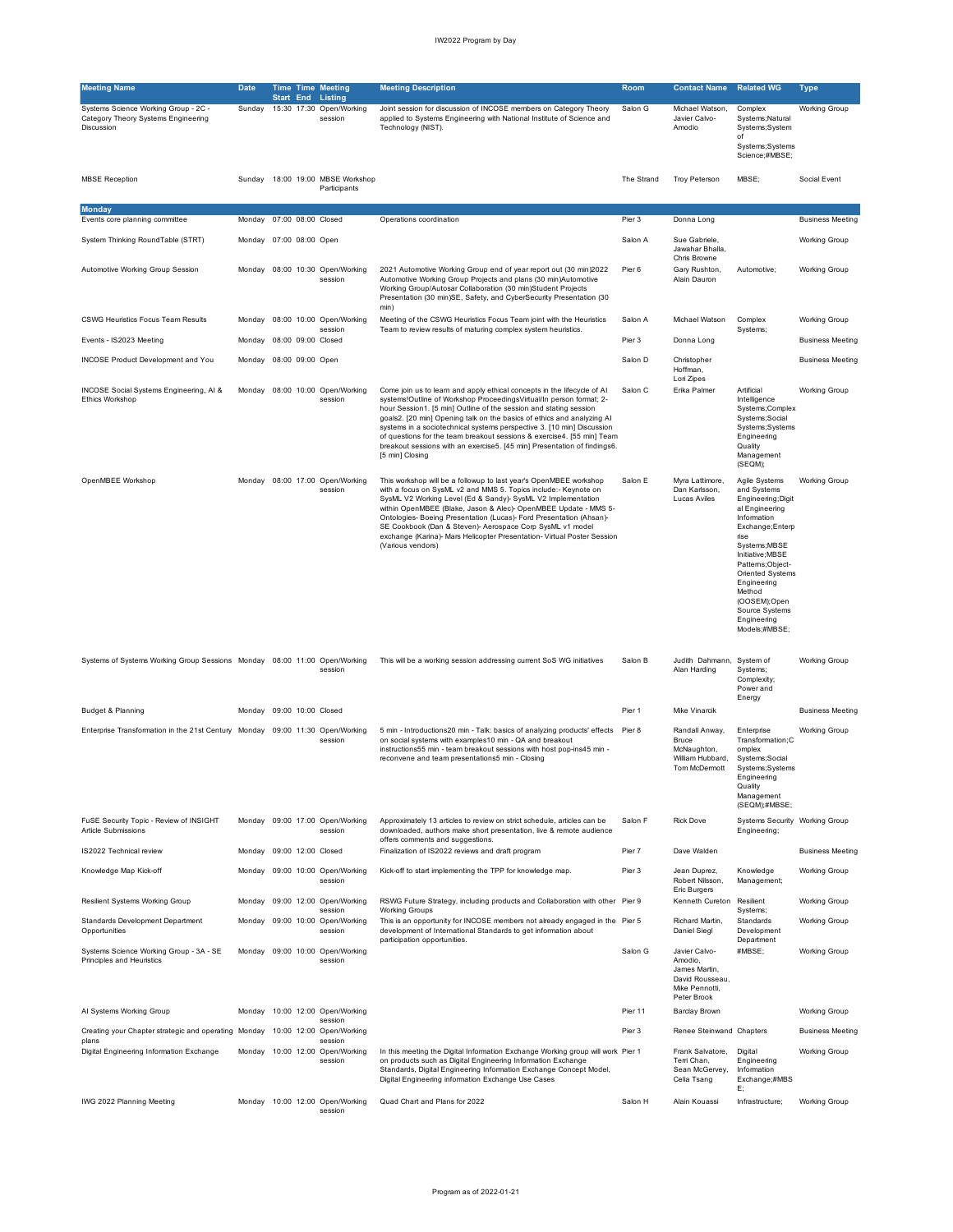| <b>Meeting Name</b>                                                                       | <b>Date</b>               |                  | <b>Time Time Meeting</b>                                        | <b>Meeting Description</b>                                                                                                                                                                                                                                                                                                                                                                                                                                                                                                                       | Room       | <b>Contact Name</b>                                                                           | <b>Related WG</b>                                                                                                                                                                                                                                                                     | <b>Type</b>             |
|-------------------------------------------------------------------------------------------|---------------------------|------------------|-----------------------------------------------------------------|--------------------------------------------------------------------------------------------------------------------------------------------------------------------------------------------------------------------------------------------------------------------------------------------------------------------------------------------------------------------------------------------------------------------------------------------------------------------------------------------------------------------------------------------------|------------|-----------------------------------------------------------------------------------------------|---------------------------------------------------------------------------------------------------------------------------------------------------------------------------------------------------------------------------------------------------------------------------------------|-------------------------|
| Systems Science Working Group - 2C -<br>Category Theory Systems Engineering<br>Discussion | Sunday                    |                  | <b>Start End Listing</b><br>15:30 17:30 Open/Working<br>session | Joint session for discussion of INCOSE members on Category Theory<br>applied to Systems Engineering with National Institute of Science and<br>Technology (NIST).                                                                                                                                                                                                                                                                                                                                                                                 | Salon G    | Michael Watson,<br>Javier Calvo-<br>Amodio                                                    | Complex<br>Systems; Natural<br>Systems;System<br>of<br>Systems; Systems<br>Science;#MBSE;                                                                                                                                                                                             | <b>Working Group</b>    |
| <b>MBSE</b> Reception                                                                     | Sundav                    |                  | 18:00 19:00 MBSE Workshop<br>Participants                       |                                                                                                                                                                                                                                                                                                                                                                                                                                                                                                                                                  | The Strand | <b>Troy Peterson</b>                                                                          | MBSE:                                                                                                                                                                                                                                                                                 | Social Event            |
| <b>Monday</b><br>Events core planning committee                                           | Monday                    |                  | 07:00 08:00 Closed                                              | Operations coordination                                                                                                                                                                                                                                                                                                                                                                                                                                                                                                                          | Pier 3     | Donna Long                                                                                    |                                                                                                                                                                                                                                                                                       | <b>Business Meeting</b> |
| System Thinking RoundTable (STRT)                                                         | Monday 07:00 08:00 Open   |                  |                                                                 |                                                                                                                                                                                                                                                                                                                                                                                                                                                                                                                                                  | Salon A    | Sue Gabriele,<br>Jawahar Bhalla,<br>Chris Browne                                              |                                                                                                                                                                                                                                                                                       | Working Group           |
| Automotive Working Group Session                                                          | Monday                    |                  | 08:00 10:30 Open/Working<br>session                             | 2021 Automotive Working Group end of year report out (30 min)2022<br>Automotive Working Group Projects and plans (30 min)Automotive<br>Working Group/Autosar Collaboration (30 min)Student Projects<br>Presentation (30 min)SE, Safety, and CyberSecurity Presentation (30<br>min)                                                                                                                                                                                                                                                               | Pier 6     | Gary Rushton,<br>Alain Dauron                                                                 | Automotive;                                                                                                                                                                                                                                                                           | Working Group           |
| <b>CSWG Heuristics Focus Team Results</b>                                                 | Monday                    |                  | 08:00 10:00 Open/Working<br>session                             | Meeting of the CSWG Heuristics Focus Team joint with the Heuristics<br>Team to review results of maturing complex system heuristics.                                                                                                                                                                                                                                                                                                                                                                                                             | Salon A    | Michael Watson                                                                                | Complex<br>Systems;                                                                                                                                                                                                                                                                   | Working Group           |
| Events - IS2023 Meeting                                                                   | Mondav                    |                  | 08:00 09:00 Closed                                              |                                                                                                                                                                                                                                                                                                                                                                                                                                                                                                                                                  | Pier 3     | Donna Long                                                                                    |                                                                                                                                                                                                                                                                                       | <b>Business Meeting</b> |
| <b>INCOSE Product Development and You</b>                                                 | Monday                    | 08:00 09:00 Open |                                                                 |                                                                                                                                                                                                                                                                                                                                                                                                                                                                                                                                                  | Salon D    | Christopher<br>Hoffman,<br>Lori Zipes                                                         |                                                                                                                                                                                                                                                                                       | <b>Business Meeting</b> |
| INCOSE Social Systems Engineering, AI &<br>Ethics Workshop                                |                           |                  | Monday 08:00 10:00 Open/Working<br>session                      | Come join us to learn and apply ethical concepts in the lifecycle of Al<br>systems!Outline of Workshop ProceedingsVirtual/In person format; 2-<br>hour Session1. [5 min] Outline of the session and stating session<br>goals2. [20 min] Opening talk on the basics of ethics and analyzing AI<br>systems in a sociotechnical systems perspective 3. [10 min] Discussion<br>of questions for the team breakout sessions & exercise4. [55 min] Team<br>breakout sessions with an exercise5. [45 min] Presentation of findings6.<br>[5 min] Closing | Salon C    | Erika Palmer                                                                                  | Artificial<br>Intelligence<br>Systems;Complex<br>Systems; Social<br>Systems; Systems<br>Engineering<br>Quality<br>Management<br>(SEQM);                                                                                                                                               | Working Group           |
| OpenMBEE Workshop                                                                         |                           |                  | Monday 08:00 17:00 Open/Working<br>session                      | This workshop will be a followup to last year's OpenMBEE workshop<br>with a focus on SysML v2 and MMS 5. Topics include:- Keynote on<br>SysML V2 Working Level (Ed & Sandy)- SysML V2 Implementation<br>within OpenMBEE (Blake, Jason & Alec)- OpenMBEE Update - MMS 5-<br>Ontologies- Boeing Presentation (Lucas)- Ford Presentation (Ahsan)-<br>SE Cookbook (Dan & Steven)- Aerospace Corp SysML v1 model<br>exchange (Karina)- Mars Helicopter Presentation- Virtual Poster Session<br>(Various vendors)                                      | Salon E    | Myra Lattimore,<br>Dan Karlsson,<br>Lucas Aviles                                              | Agile Systems<br>and Systems<br>Engineering; Digit<br>al Engineering<br>Information<br>Exchange; Enterp<br>rise<br>Systems;MBSE<br>Initiative;MBSE<br>Patterns;Object-<br>Oriented Systems<br>Engineering<br>Method<br>(OOSEM);Open<br>Source Systems<br>Engineering<br>Models;#MBSE; | <b>Working Group</b>    |
| Systems of Systems Working Group Sessions Monday 08:00 11:00 Open/Working                 |                           |                  | session                                                         | This will be a working session addressing current SoS WG initiatives                                                                                                                                                                                                                                                                                                                                                                                                                                                                             | Salon B    | Judith Dahmann, System of<br>Alan Harding                                                     | Systems;<br>Complexity;<br>Power and<br>Energy                                                                                                                                                                                                                                        | <b>Working Group</b>    |
| Budget & Planning                                                                         | Monday 09:00 10:00 Closed |                  |                                                                 |                                                                                                                                                                                                                                                                                                                                                                                                                                                                                                                                                  | Pier 1     | <b>Mike Vinarcik</b>                                                                          |                                                                                                                                                                                                                                                                                       | <b>Business Meeting</b> |
| Enterprise Transformation in the 21st Century Monday 09:00 11:30 Open/Working             |                           |                  | session                                                         | 5 min - Introductions20 min - Talk: basics of analyzing products' effects  Pier 8<br>on social systems with examples10 min - QA and breakout<br>instructions55 min - team breakout sessions with host pop-ins45 min -<br>reconvene and team presentations5 min - Closing                                                                                                                                                                                                                                                                         |            | Randall Anway,<br>Bruce<br>McNaughton,<br>William Hubbard,<br>Tom McDermott                   | Enterprise<br>Transformation;C<br>omplex<br>Systems; Social<br>Systems; Systems<br>Engineering<br>Quality<br>Management<br>(SEQM);#MBSE;                                                                                                                                              | Working Group           |
| FuSE Security Topic - Review of INSIGHT<br>Article Submissions                            | Monday                    |                  | 09:00 17:00 Open/Working<br>session                             | Approximately 13 articles to review on strict schedule, articles can be<br>downloaded, authors make short presentation, live & remote audience<br>offers comments and suggestions.                                                                                                                                                                                                                                                                                                                                                               | Salon F    | <b>Rick Dove</b>                                                                              | Systems Security Working Group<br>Engineering;                                                                                                                                                                                                                                        |                         |
| IS2022 Technical review                                                                   | Monday                    |                  | 09:00 12:00 Closed                                              | Finalization of IS2022 reviews and draft program                                                                                                                                                                                                                                                                                                                                                                                                                                                                                                 | Pier 7     | Dave Walden                                                                                   |                                                                                                                                                                                                                                                                                       | <b>Business Meeting</b> |
| Knowledge Map Kick-off                                                                    | Monday                    |                  | 09:00 10:00 Open/Working<br>session                             | Kick-off to start implementing the TPP for knowledge map.                                                                                                                                                                                                                                                                                                                                                                                                                                                                                        | Pier 3     | Jean Duprez,<br>Robert Nilsson,<br>Eric Burgers                                               | Knowledge<br>Management;                                                                                                                                                                                                                                                              | Working Group           |
| Resilient Systems Working Group                                                           | Monday                    |                  | 09:00 12:00 Open/Working<br>session                             | RSWG Future Strategy, including products and Collaboration with other Pier 9<br><b>Working Groups</b>                                                                                                                                                                                                                                                                                                                                                                                                                                            |            | Kenneth Cureton Resilient                                                                     | Systems;                                                                                                                                                                                                                                                                              | <b>Working Group</b>    |
| Standards Development Department<br>Opportunities                                         | Monday                    |                  | 09:00 10:00 Open/Working<br>session                             | This is an opportunity for INCOSE members not already engaged in the Pier 5<br>development of International Standards to get information about<br>participation opportunities.                                                                                                                                                                                                                                                                                                                                                                   |            | Richard Martin,<br>Daniel Siegl                                                               | Standards<br>Development<br>Department                                                                                                                                                                                                                                                | Working Group           |
| Systems Science Working Group - 3A - SE<br>Principles and Heuristics                      | Mondav                    |                  | 09:00 10:00 Open/Working<br>session                             |                                                                                                                                                                                                                                                                                                                                                                                                                                                                                                                                                  | Salon G    | Javier Calvo-<br>Amodio,<br>James Martin,<br>David Rousseau,<br>Mike Pennotti,<br>Peter Brook | #MBSE;                                                                                                                                                                                                                                                                                | Working Group           |
| AI Systems Working Group                                                                  | Monday                    |                  | 10:00 12:00 Open/Working<br>session                             |                                                                                                                                                                                                                                                                                                                                                                                                                                                                                                                                                  | Pier 11    | <b>Barclay Brown</b>                                                                          |                                                                                                                                                                                                                                                                                       | Working Group           |
| Creating your Chapter strategic and operating Monday<br>plans                             |                           |                  | 10:00 12:00 Open/Working<br>session                             |                                                                                                                                                                                                                                                                                                                                                                                                                                                                                                                                                  | Pier 3     | Renee Steinwand Chapters                                                                      |                                                                                                                                                                                                                                                                                       | <b>Business Meeting</b> |
| Digital Engineering Information Exchange                                                  |                           |                  | Monday 10:00 12:00 Open/Working<br>session                      | In this meeting the Digital Information Exchange Working group will work Pier 1<br>on products such as Digital Engineering Information Exchange<br>Standards, Digital Engineering Information Exchange Concept Model,<br>Digital Engineering information Exchange Use Cases                                                                                                                                                                                                                                                                      |            | Frank Salvatore,<br>Terri Chan,<br>Sean McGervey,<br>Celia Tsang                              | Digital<br>Engineering<br>Information<br>Exchange;#MBS<br>E:                                                                                                                                                                                                                          | Working Group           |
| IWG 2022 Planning Meeting                                                                 |                           |                  | Monday 10:00 12:00 Open/Working<br>session                      | Quad Chart and Plans for 2022                                                                                                                                                                                                                                                                                                                                                                                                                                                                                                                    | Salon H    | Alain Kouassi                                                                                 | Infrastructure;                                                                                                                                                                                                                                                                       | <b>Working Group</b>    |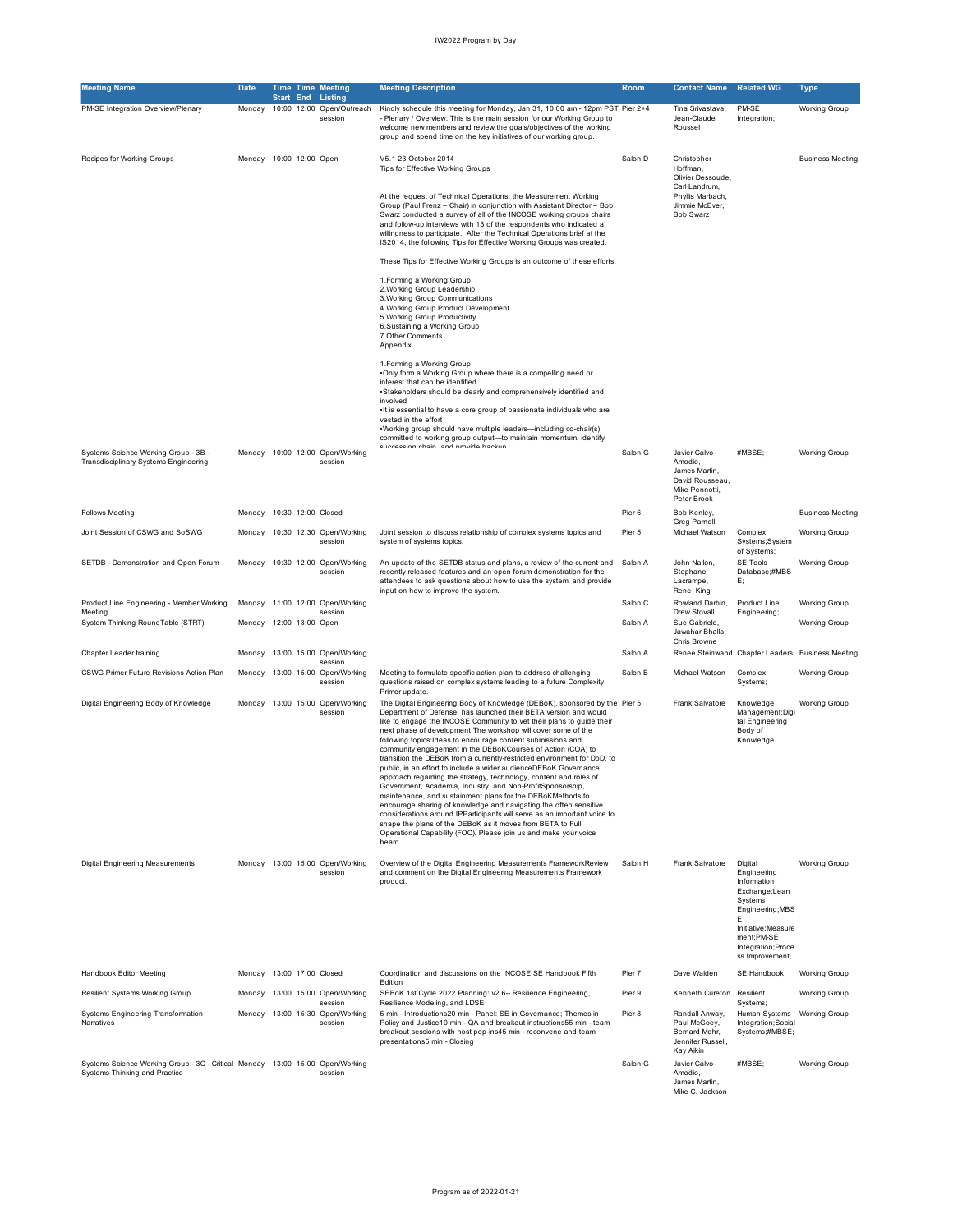| <b>Meeting Name</b>                                                                                            | <b>Date</b>               | Start End | <b>Time Time Meeting</b><br><b>Listing</b>            | <b>Meeting Description</b>                                                                                                                                                                                                                                                                                                                                                                                                                                                                                                                                                                                                                                                                                                                                                                                                                                                                                                                                                                                                                                             | Room    | <b>Contact Name</b>                                                                           | <b>Related WG</b>                                                                                                                                                        | <b>Type</b>             |
|----------------------------------------------------------------------------------------------------------------|---------------------------|-----------|-------------------------------------------------------|------------------------------------------------------------------------------------------------------------------------------------------------------------------------------------------------------------------------------------------------------------------------------------------------------------------------------------------------------------------------------------------------------------------------------------------------------------------------------------------------------------------------------------------------------------------------------------------------------------------------------------------------------------------------------------------------------------------------------------------------------------------------------------------------------------------------------------------------------------------------------------------------------------------------------------------------------------------------------------------------------------------------------------------------------------------------|---------|-----------------------------------------------------------------------------------------------|--------------------------------------------------------------------------------------------------------------------------------------------------------------------------|-------------------------|
| PM-SE Integration Overview/Plenary                                                                             | Monday                    |           | 10:00 12:00 Open/Outreach<br>session                  | Kindly schedule this meeting for Monday, Jan 31, 10:00 am - 12pm PST Pier 2+4<br>- Plenary / Overview. This is the main session for our Working Group to<br>welcome new members and review the goals/objectives of the working<br>group and spend time on the key initiatives of our working group.                                                                                                                                                                                                                                                                                                                                                                                                                                                                                                                                                                                                                                                                                                                                                                    |         | Tina Srivastava,<br>Jean-Claude<br>Roussel                                                    | PM-SE<br>Integration;                                                                                                                                                    | <b>Working Group</b>    |
| Recipes for Working Groups                                                                                     | Monday 10:00 12:00 Open   |           |                                                       | V5.1 23 October 2014<br>Tips for Effective Working Groups                                                                                                                                                                                                                                                                                                                                                                                                                                                                                                                                                                                                                                                                                                                                                                                                                                                                                                                                                                                                              | Salon D | Christopher<br>Hoffman,<br>Olivier Dessoude,                                                  |                                                                                                                                                                          | <b>Business Meeting</b> |
|                                                                                                                |                           |           |                                                       | At the request of Technical Operations, the Measurement Working<br>Group (Paul Frenz - Chair) in conjunction with Assistant Director - Bob<br>Swarz conducted a survey of all of the INCOSE working groups chairs<br>and follow-up interviews with 13 of the respondents who indicated a<br>willingness to participate. After the Technical Operations brief at the<br>IS2014, the following Tips for Effective Working Groups was created.                                                                                                                                                                                                                                                                                                                                                                                                                                                                                                                                                                                                                            |         | Carl Landrum,<br>Phyllis Marbach,<br>Jimmie McEver,<br><b>Bob Swarz</b>                       |                                                                                                                                                                          |                         |
|                                                                                                                |                           |           |                                                       | These Tips for Effective Working Groups is an outcome of these efforts.                                                                                                                                                                                                                                                                                                                                                                                                                                                                                                                                                                                                                                                                                                                                                                                                                                                                                                                                                                                                |         |                                                                                               |                                                                                                                                                                          |                         |
|                                                                                                                |                           |           |                                                       | 1. Forming a Working Group<br>2. Working Group Leadership<br>3. Working Group Communications<br>4. Working Group Product Development<br>5. Working Group Productivity<br>6.Sustaining a Working Group<br>7. Other Comments<br>Appendix                                                                                                                                                                                                                                                                                                                                                                                                                                                                                                                                                                                                                                                                                                                                                                                                                                 |         |                                                                                               |                                                                                                                                                                          |                         |
|                                                                                                                |                           |           |                                                       | 1. Forming a Working Group<br>.Only form a Working Group where there is a compelling need or<br>interest that can be identified<br>•Stakeholders should be clearly and comprehensively identified and<br>involved<br>. It is essential to have a core group of passionate individuals who are<br>vested in the effort<br>. Working group should have multiple leaders-including co-chair(s)<br>committed to working group output-to maintain momentum, identify                                                                                                                                                                                                                                                                                                                                                                                                                                                                                                                                                                                                        |         |                                                                                               |                                                                                                                                                                          |                         |
| Systems Science Working Group - 3B -<br>Transdisciplinary Systems Engineering                                  |                           |           | Monday 10:00 12:00 Open/Working<br>session            | مروامعها ملائريهم لأعم المامطة ممامومة                                                                                                                                                                                                                                                                                                                                                                                                                                                                                                                                                                                                                                                                                                                                                                                                                                                                                                                                                                                                                                 | Salon G | Javier Calvo-<br>Amodio,<br>James Martin,<br>David Rousseau,<br>Mike Pennotti,<br>Peter Brook | #MBSE:                                                                                                                                                                   | <b>Working Group</b>    |
| <b>Fellows Meeting</b>                                                                                         | Monday 10:30 12:00 Closed |           |                                                       |                                                                                                                                                                                                                                                                                                                                                                                                                                                                                                                                                                                                                                                                                                                                                                                                                                                                                                                                                                                                                                                                        | Pier 6  | Bob Kenley,<br>Greg Pamell                                                                    |                                                                                                                                                                          | <b>Business Meeting</b> |
| Joint Session of CSWG and SoSWG                                                                                | Monday                    |           | 10:30 12:30 Open/Working<br>session                   | Joint session to discuss relationship of complex systems topics and<br>system of systems topics.                                                                                                                                                                                                                                                                                                                                                                                                                                                                                                                                                                                                                                                                                                                                                                                                                                                                                                                                                                       | Pier 5  | Michael Watson                                                                                | Complex<br>Systems;System<br>of Systems;                                                                                                                                 | <b>Working Group</b>    |
| SETDB - Demonstration and Open Forum                                                                           | Monday                    |           | 10:30 12:00 Open/Working<br>session                   | An update of the SETDB status and plans, a review of the current and<br>recently released features and an open forum demonstration for the<br>attendees to ask questions about how to use the system, and provide<br>input on how to improve the system.                                                                                                                                                                                                                                                                                                                                                                                                                                                                                                                                                                                                                                                                                                                                                                                                               | Salon A | John Nallon,<br>Stephane<br>Lacrampe,<br>Rene King                                            | SE Tools<br>Database;#MBS<br>Е;                                                                                                                                          | <b>Working Group</b>    |
| Product Line Engineering - Member Working<br>Meeting                                                           | Monday                    |           | 11:00 12:00 Open/Working<br>session                   |                                                                                                                                                                                                                                                                                                                                                                                                                                                                                                                                                                                                                                                                                                                                                                                                                                                                                                                                                                                                                                                                        | Salon C | Rowland Darbin,<br>Drew Stovall                                                               | Product Line<br>Engineering;                                                                                                                                             | <b>Working Group</b>    |
| System Thinking RoundTable (STRT)                                                                              | Monday 12:00 13:00 Open   |           |                                                       |                                                                                                                                                                                                                                                                                                                                                                                                                                                                                                                                                                                                                                                                                                                                                                                                                                                                                                                                                                                                                                                                        | Salon A | Sue Gabriele,<br>Jawahar Bhalla,<br>Chris Browne                                              |                                                                                                                                                                          | <b>Working Group</b>    |
| Chapter Leader training                                                                                        | Monday                    |           | 13:00 15:00 Open/Working<br>session                   |                                                                                                                                                                                                                                                                                                                                                                                                                                                                                                                                                                                                                                                                                                                                                                                                                                                                                                                                                                                                                                                                        | Salon A |                                                                                               | Renee Steinwand Chapter Leaders Business Meeting                                                                                                                         |                         |
| CSWG Primer Future Revisions Action Plan                                                                       | Monday                    |           | 13:00 15:00 Open/Working<br>session                   | Meeting to formulate specific action plan to address challenging<br>questions raised on complex systems leading to a future Complexity<br>Primer update.                                                                                                                                                                                                                                                                                                                                                                                                                                                                                                                                                                                                                                                                                                                                                                                                                                                                                                               | Salon B | Michael Watson                                                                                | Complex<br>Systems;                                                                                                                                                      | <b>Working Group</b>    |
| Digital Engineering Body of Knowledge                                                                          |                           |           | Monday 13:00 15:00 Open/Working<br>session            | The Digital Engineering Body of Knowledge (DEBoK), sponsored by the Pier 5<br>Department of Defense, has launched their BETA version and would<br>like to engage the INCOSE Community to vet their plans to guide their<br>next phase of development. The workshop will cover some of the<br>following topics: Ideas to encourage content submissions and<br>community engagement in the DEBoKCourses of Action (COA) to<br>transition the DEBoK from a currently-restricted environment for DoD, to<br>public, in an effort to include a wider audienceDEBoK Governance<br>approach regarding the strategy, technology, content and roles of<br>Government, Academia, Industry, and Non-ProfitSponsorship,<br>maintenance, and sustainment plans for the DEBoKMethods to<br>encourage sharing of knowledge and navigating the often sensitive<br>considerations around IPParticipants will serve as an important voice to<br>shape the plans of the DEBoK as it moves from BETA to Full<br>Operational Capability (FOC). Please join us and make your voice<br>heard. |         | Frank Salvatore                                                                               | Knowledge<br>Management;Digi<br>tal Engineering<br>Body of<br>Knowledge                                                                                                  | <b>Working Group</b>    |
| Digital Engineering Measurements                                                                               |                           |           | Monday 13:00 15:00 Open/Working<br>session            | Overview of the Digital Engineering Measurements FrameworkReview<br>and comment on the Digital Engineering Measurements Framework<br>product.                                                                                                                                                                                                                                                                                                                                                                                                                                                                                                                                                                                                                                                                                                                                                                                                                                                                                                                          | Salon H | Frank Salvatore                                                                               | Digital<br>Engineering<br>Information<br>Exchange;Lean<br>Systems<br>Engineering; MBS<br>F<br>Initiative; Measure<br>ment;PM-SE<br>Integration; Proce<br>ss Improvement; | <b>Working Group</b>    |
| Handbook Editor Meeting                                                                                        | Monday 13:00 17:00 Closed |           |                                                       | Coordination and discussions on the INCOSE SE Handbook Fifth                                                                                                                                                                                                                                                                                                                                                                                                                                                                                                                                                                                                                                                                                                                                                                                                                                                                                                                                                                                                           | Pier 7  | Dave Walden                                                                                   | SE Handbook                                                                                                                                                              | <b>Working Group</b>    |
| Resilient Systems Working Group                                                                                |                           |           | Monday 13:00 15:00 Open/Working                       | Edition<br>SEBoK 1st Cycle 2022 Planning: v2.6- Resilience Engineering,                                                                                                                                                                                                                                                                                                                                                                                                                                                                                                                                                                                                                                                                                                                                                                                                                                                                                                                                                                                                | Pier 9  | Kenneth Cureton                                                                               | Resilient                                                                                                                                                                | <b>Working Group</b>    |
| Systems Engineering Transformation<br>Narratives                                                               |                           |           | session<br>Monday 13:00 15:30 Open/Working<br>session | Resilience Modeling, and LDSE<br>5 min - Introductions20 min - Panel: SE in Governance; Themes in<br>Policy and Justice 10 min - QA and breakout instructions 55 min - team<br>breakout sessions with host pop-ins45 min - reconvene and team<br>presentations5 min - Closing                                                                                                                                                                                                                                                                                                                                                                                                                                                                                                                                                                                                                                                                                                                                                                                          | Pier 8  | Randall Anway,<br>Paul McGoey,<br>Bernard Mohr,<br>Jennifer Russell,<br>Kay Aikin             | Systems:<br>Human Systems Working Group<br>Integration; Social<br>Systems;#MBSE;                                                                                         |                         |
| Systems Science Working Group - 3C - Critical Monday 13:00 15:00 Open/Working<br>Systems Thinking and Practice |                           |           | session                                               |                                                                                                                                                                                                                                                                                                                                                                                                                                                                                                                                                                                                                                                                                                                                                                                                                                                                                                                                                                                                                                                                        | Salon G | Javier Calvo-<br>Amodio,<br>James Martin,<br>Mike C. Jackson                                  | #MBSE;                                                                                                                                                                   | <b>Working Group</b>    |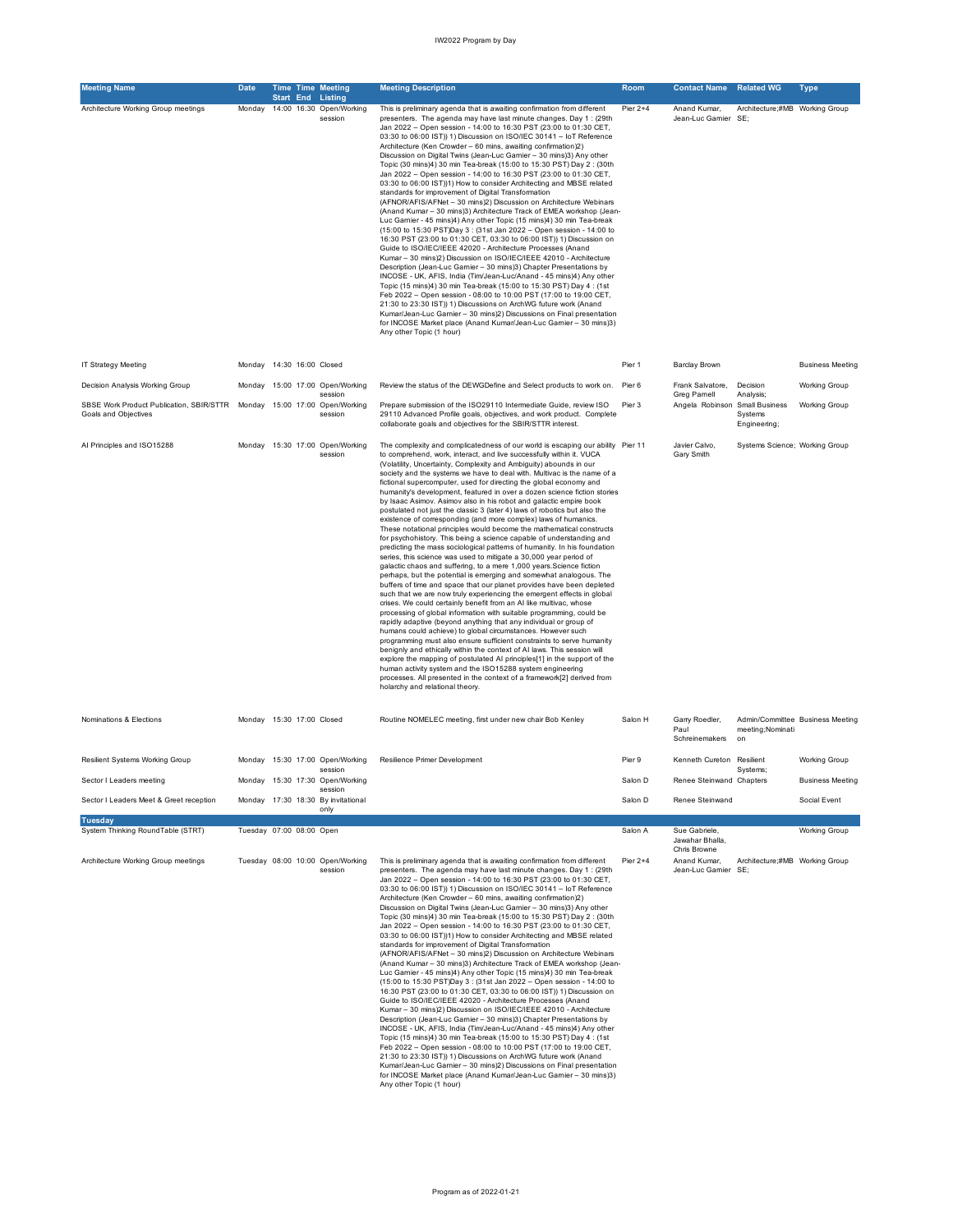| <b>Meeting Name</b>                                                                              | <b>Date</b>               |           | <b>Time Time Meeting</b>                              | <b>Meeting Description</b>                                                                                                                                                                                                                                                                                                                                                                                                                                                                                                                                                                                                                                                                                                                                                                                                                                                                                                                                                                                                                                                                                                                                                                                                                                                                                                                                                                                                                                                                                                                                                                                                                                                                                                                                                                                                                                                                                                                                                     | Room       | <b>Contact Name</b>                      | <b>Related WG</b>                         | <b>Type</b>                      |
|--------------------------------------------------------------------------------------------------|---------------------------|-----------|-------------------------------------------------------|--------------------------------------------------------------------------------------------------------------------------------------------------------------------------------------------------------------------------------------------------------------------------------------------------------------------------------------------------------------------------------------------------------------------------------------------------------------------------------------------------------------------------------------------------------------------------------------------------------------------------------------------------------------------------------------------------------------------------------------------------------------------------------------------------------------------------------------------------------------------------------------------------------------------------------------------------------------------------------------------------------------------------------------------------------------------------------------------------------------------------------------------------------------------------------------------------------------------------------------------------------------------------------------------------------------------------------------------------------------------------------------------------------------------------------------------------------------------------------------------------------------------------------------------------------------------------------------------------------------------------------------------------------------------------------------------------------------------------------------------------------------------------------------------------------------------------------------------------------------------------------------------------------------------------------------------------------------------------------|------------|------------------------------------------|-------------------------------------------|----------------------------------|
| Architecture Working Group meetings                                                              | Monday                    | Start End | Listing<br>14:00 16:30 Open/Working<br>session        | This is preliminary agenda that is awaiting confirmation from different<br>presenters. The agenda may have last minute changes. Day 1 : (29th<br>Jan 2022 - Open session - 14:00 to 16:30 PST (23:00 to 01:30 CET,<br>03:30 to 06:00 IST)) 1) Discussion on ISO/IEC 30141 - IoT Reference<br>Architecture (Ken Crowder - 60 mins, awaiting confirmation)2)<br>Discussion on Digital Twins (Jean-Luc Gamier - 30 mins)3) Any other<br>Topic (30 mins)4) 30 min Tea-break (15:00 to 15:30 PST) Day 2 : (30th<br>Jan 2022 - Open session - 14:00 to 16:30 PST (23:00 to 01:30 CET,<br>03:30 to 06:00 IST))1) How to consider Architecting and MBSE related<br>standards for improvement of Digital Transformation<br>(AFNOR/AFIS/AFNet - 30 mins)2) Discussion on Architecture Webinars<br>(Anand Kumar - 30 mins)3) Architecture Track of EMEA workshop (Jean-<br>Luc Garnier - 45 mins)4) Any other Topic (15 mins)4) 30 min Tea-break<br>(15:00 to 15:30 PST)Day 3 : (31st Jan 2022 - Open session - 14:00 to<br>16:30 PST (23:00 to 01:30 CET, 03:30 to 06:00 IST)) 1) Discussion on<br>Guide to ISO/IEC/IEEE 42020 - Architecture Processes (Anand<br>Kumar - 30 mins)2) Discussion on ISO/IEC/IEEE 42010 - Architecture<br>Description (Jean-Luc Gamier - 30 mins)3) Chapter Presentations by<br>INCOSE - UK, AFIS, India (Tim/Jean-Luc/Anand - 45 mins)4) Any other<br>Topic (15 mins)4) 30 min Tea-break (15:00 to 15:30 PST) Day 4 : (1st<br>Feb 2022 - Open session - 08:00 to 10:00 PST (17:00 to 19:00 CET,<br>21:30 to 23:30 IST)) 1) Discussions on ArchWG future work (Anand<br>Kumar/Jean-Luc Garnier - 30 mins)2) Discussions on Final presentation<br>for INCOSE Market place (Anand Kumar/Jean-Luc Gamier - 30 mins)3)<br>Any other Topic (1 hour)                                                                                                                                                                                                             | Pier 2+4   | Anand Kumar,<br>Jean-Luc Gamier SE;      | Architecture;#MB Working Group            |                                  |
| IT Strategy Meeting                                                                              | Monday 14:30 16:00 Closed |           |                                                       |                                                                                                                                                                                                                                                                                                                                                                                                                                                                                                                                                                                                                                                                                                                                                                                                                                                                                                                                                                                                                                                                                                                                                                                                                                                                                                                                                                                                                                                                                                                                                                                                                                                                                                                                                                                                                                                                                                                                                                                | Pier 1     | <b>Barclay Brown</b>                     |                                           | <b>Business Meeting</b>          |
| Decision Analysis Working Group                                                                  |                           |           | Monday 15:00 17:00 Open/Working<br>session            | Review the status of the DEWGDefine and Select products to work on.                                                                                                                                                                                                                                                                                                                                                                                                                                                                                                                                                                                                                                                                                                                                                                                                                                                                                                                                                                                                                                                                                                                                                                                                                                                                                                                                                                                                                                                                                                                                                                                                                                                                                                                                                                                                                                                                                                            | Pier 6     | Frank Salvatore,<br>Greg Pamell          | Decision<br>Analysis;                     | <b>Working Group</b>             |
| SBSE Work Product Publication, SBIR/STTR Monday 15:00 17:00 Open/Working<br>Goals and Objectives |                           |           | session                                               | Prepare submission of the ISO29110 Intermediate Guide, review ISO<br>29110 Advanced Profile goals, objectives, and work product. Complete<br>collaborate goals and objectives for the SBIR/STTR interest.                                                                                                                                                                                                                                                                                                                                                                                                                                                                                                                                                                                                                                                                                                                                                                                                                                                                                                                                                                                                                                                                                                                                                                                                                                                                                                                                                                                                                                                                                                                                                                                                                                                                                                                                                                      | Pier 3     | Angela Robinson                          | Small Business<br>Systems<br>Engineering; | <b>Working Group</b>             |
| Al Principles and ISO15288                                                                       |                           |           | Monday 15:30 17:00 Open/Working<br>session            | The complexity and complicatedness of our world is escaping our ability Pier 11<br>to comprehend, work, interact, and live successfully within it. VUCA<br>(Volatility, Uncertainty, Complexity and Ambiguity) abounds in our<br>society and the systems we have to deal with. Multivac is the name of a<br>fictional supercomputer, used for directing the global economy and<br>humanity's development, featured in over a dozen science fiction stories<br>by Isaac Asimov. Asimov also in his robot and galactic empire book<br>postulated not just the classic 3 (later 4) laws of robotics but also the<br>existence of corresponding (and more complex) laws of humanics.<br>These notational principles would become the mathematical constructs<br>for psychohistory. This being a science capable of understanding and<br>predicting the mass sociological patterns of humanity. In his foundation<br>series, this science was used to mitigate a 30,000 year period of<br>galactic chaos and suffering, to a mere 1,000 years. Science fiction<br>perhaps, but the potential is emerging and somewhat analogous. The<br>buffers of time and space that our planet provides have been depleted<br>such that we are now truly experiencing the emergent effects in global<br>crises. We could certainly benefit from an AI like multivac, whose<br>processing of global information with suitable programming, could be<br>rapidly adaptive (beyond anything that any individual or group of<br>humans could achieve) to global circumstances. However such<br>programming must also ensure sufficient constraints to serve humanity<br>benignly and ethically within the context of AI laws. This session will<br>explore the mapping of postulated AI principles[1] in the support of the<br>human activity system and the ISO15288 system engineering<br>processes. All presented in the context of a framework[2] derived from<br>holarchy and relational theory. |            | Javier Calvo.<br>Gary Smith              | Systems Science; Working Group            |                                  |
| Nominations & Elections                                                                          | Monday 15:30 17:00 Closed |           |                                                       | Routine NOMELEC meeting, first under new chair Bob Kenley                                                                                                                                                                                                                                                                                                                                                                                                                                                                                                                                                                                                                                                                                                                                                                                                                                                                                                                                                                                                                                                                                                                                                                                                                                                                                                                                                                                                                                                                                                                                                                                                                                                                                                                                                                                                                                                                                                                      | Salon H    | Garry Roedler,<br>Paul<br>Schreinemakers | meeting; Nominati<br>on                   | Admin/Committee Business Meeting |
| Resilient Systems Working Group                                                                  |                           |           | Monday 15:30 17:00 Open/Working                       | Resilience Primer Development                                                                                                                                                                                                                                                                                                                                                                                                                                                                                                                                                                                                                                                                                                                                                                                                                                                                                                                                                                                                                                                                                                                                                                                                                                                                                                                                                                                                                                                                                                                                                                                                                                                                                                                                                                                                                                                                                                                                                  | Pier 9     | Kenneth Cureton                          | Resilient                                 | <b>Working Group</b>             |
| Sector I Leaders meeting                                                                         | Monday                    |           | session<br>15:30 17:30 Open/Working                   |                                                                                                                                                                                                                                                                                                                                                                                                                                                                                                                                                                                                                                                                                                                                                                                                                                                                                                                                                                                                                                                                                                                                                                                                                                                                                                                                                                                                                                                                                                                                                                                                                                                                                                                                                                                                                                                                                                                                                                                | Salon D    | Renee Steinwand Chapters                 | Systems:                                  | Business Meeting                 |
| Sector I Leaders Meet & Greet reception                                                          |                           |           | session<br>Monday 17:30 18:30 By invitational<br>only |                                                                                                                                                                                                                                                                                                                                                                                                                                                                                                                                                                                                                                                                                                                                                                                                                                                                                                                                                                                                                                                                                                                                                                                                                                                                                                                                                                                                                                                                                                                                                                                                                                                                                                                                                                                                                                                                                                                                                                                | Salon D    | Renee Steinwand                          |                                           | Social Event                     |
| <b>Tuesday</b><br>System Thinking RoundTable (STRT)                                              | Tuesday 07:00 08:00 Open  |           |                                                       |                                                                                                                                                                                                                                                                                                                                                                                                                                                                                                                                                                                                                                                                                                                                                                                                                                                                                                                                                                                                                                                                                                                                                                                                                                                                                                                                                                                                                                                                                                                                                                                                                                                                                                                                                                                                                                                                                                                                                                                | Salon A    | Sue Gabriele,                            |                                           | <b>Working Group</b>             |
|                                                                                                  |                           |           |                                                       |                                                                                                                                                                                                                                                                                                                                                                                                                                                                                                                                                                                                                                                                                                                                                                                                                                                                                                                                                                                                                                                                                                                                                                                                                                                                                                                                                                                                                                                                                                                                                                                                                                                                                                                                                                                                                                                                                                                                                                                |            | Jawahar Bhalla,<br>Chris Browne          |                                           |                                  |
| Architecture Working Group meetings                                                              |                           |           | Tuesday 08:00 10:00 Open/Working<br>session           | This is preliminary agenda that is awaiting confirmation from different<br>presenters. The agenda may have last minute changes. Day 1: (29th<br>Jan 2022 - Open session - 14:00 to 16:30 PST (23:00 to 01:30 CET,<br>03:30 to 06:00 IST)) 1) Discussion on ISO/IEC 30141 - IoT Reference<br>Architecture (Ken Crowder - 60 mins, awaiting confirmation)2)<br>Discussion on Digital Twins (Jean-Luc Gamier - 30 mins)3) Any other<br>Topic (30 mins)4) 30 min Tea-break (15:00 to 15:30 PST) Day 2: (30th<br>Jan 2022 - Open session - 14:00 to 16:30 PST (23:00 to 01:30 CET,<br>03:30 to 06:00 IST))1) How to consider Architecting and MBSE related<br>standards for improvement of Digital Transformation<br>(AFNOR/AFIS/AFNet - 30 mins)2) Discussion on Architecture Webinars<br>(Anand Kumar - 30 mins)3) Architecture Track of EMEA workshop (Jean-<br>Luc Gamier - 45 mins)4) Any other Topic (15 mins)4) 30 min Tea-break<br>(15:00 to 15:30 PST)Day 3 : (31st Jan 2022 - Open session - 14:00 to<br>16:30 PST (23:00 to 01:30 CET, 03:30 to 06:00 IST)) 1) Discussion on<br>Guide to ISO/IEC/IEEE 42020 - Architecture Processes (Anand<br>Kumar - 30 mins)2) Discussion on ISO/IEC/IEEE 42010 - Architecture<br>Description (Jean-Luc Gamier - 30 mins)3) Chapter Presentations by<br>INCOSE - UK, AFIS, India (Tim/Jean-Luc/Anand - 45 mins)4) Any other<br>Topic (15 mins)4) 30 min Tea-break (15:00 to 15:30 PST) Day 4: (1st<br>Feb 2022 - Open session - 08:00 to 10:00 PST (17:00 to 19:00 CET,<br>21:30 to 23:30 IST)) 1) Discussions on ArchWG future work (Anand<br>Kumar/Jean-Luc Garnier - 30 mins)2) Discussions on Final presentation<br>for INCOSE Market place (Anand Kumar/Jean-Luc Gamier - 30 mins)3)<br>Any other Topic (1 hour)                                                                                                                                                                                                                 | Pier $2+4$ | Anand Kumar,<br>Jean-Luc Gamier SE;      | Architecture;#MB Working Group            |                                  |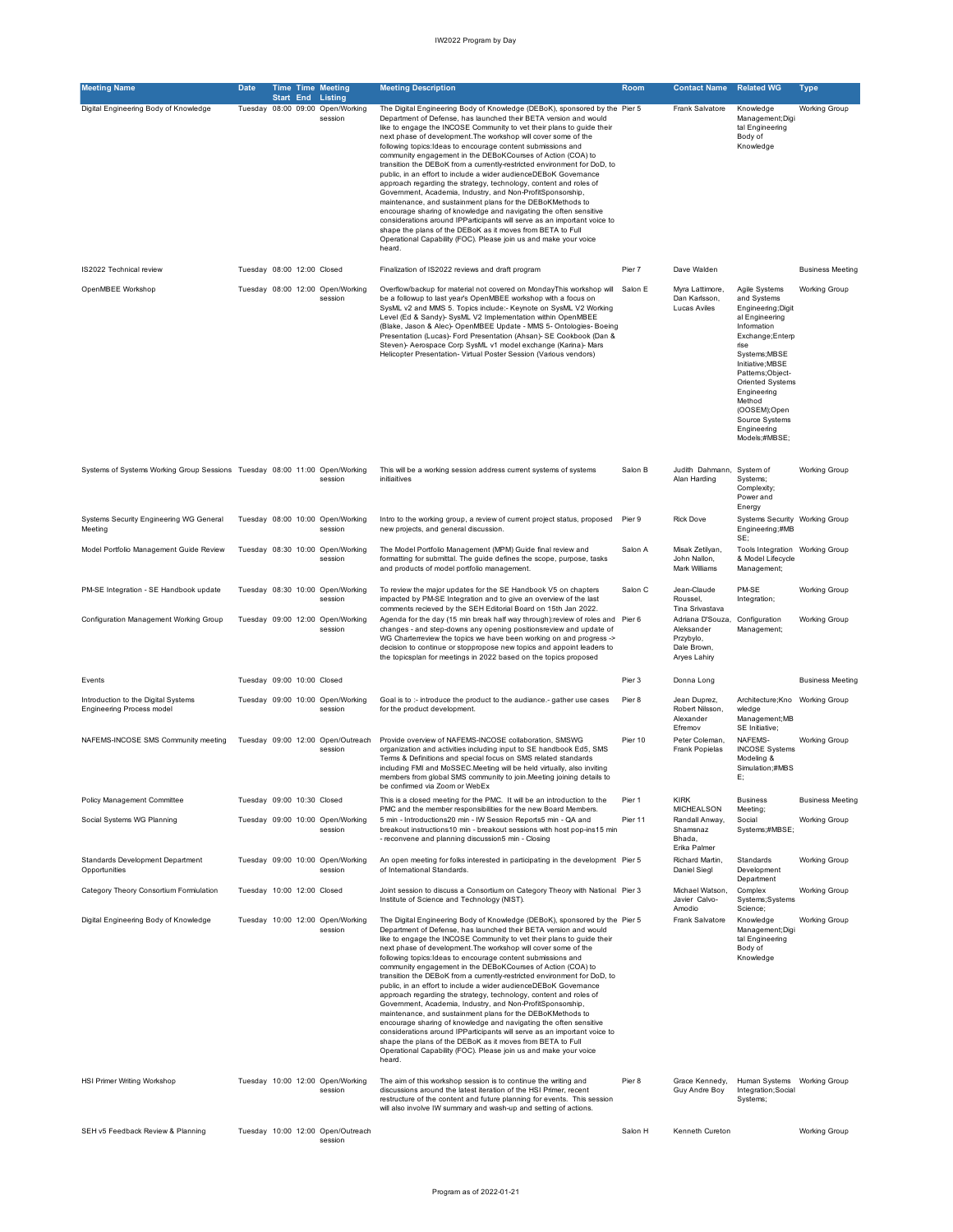| <b>Meeting Name</b>                                                        | <b>Date</b>                |  | <b>Time Time Meeting</b>                                                | <b>Meeting Description</b>                                                                                                                                                                                                                                                                                                                                                                                                                                                                                                                                                                                                                                                                                                                                                                                                                                                                                                                                                                                                                                             | <b>Room</b> | <b>Contact Name</b>                                                        | <b>Related WG</b>                                                                                                                                                                                                                                                                       | Type                    |
|----------------------------------------------------------------------------|----------------------------|--|-------------------------------------------------------------------------|------------------------------------------------------------------------------------------------------------------------------------------------------------------------------------------------------------------------------------------------------------------------------------------------------------------------------------------------------------------------------------------------------------------------------------------------------------------------------------------------------------------------------------------------------------------------------------------------------------------------------------------------------------------------------------------------------------------------------------------------------------------------------------------------------------------------------------------------------------------------------------------------------------------------------------------------------------------------------------------------------------------------------------------------------------------------|-------------|----------------------------------------------------------------------------|-----------------------------------------------------------------------------------------------------------------------------------------------------------------------------------------------------------------------------------------------------------------------------------------|-------------------------|
| Digital Engineering Body of Knowledge                                      |                            |  | <b>Start End Listing</b><br>Tuesday 08:00 09:00 Open/Working<br>session | The Digital Engineering Body of Knowledge (DEBoK), sponsored by the Pier 5<br>Department of Defense, has launched their BETA version and would<br>like to engage the INCOSE Community to vet their plans to guide their<br>next phase of development. The workshop will cover some of the<br>following topics: Ideas to encourage content submissions and<br>community engagement in the DEBoKCourses of Action (COA) to<br>transition the DEBoK from a currently-restricted environment for DoD, to<br>public, in an effort to include a wider audienceDEBoK Governance<br>approach regarding the strategy, technology, content and roles of<br>Government, Academia, Industry, and Non-ProfitSponsorship,<br>maintenance, and sustainment plans for the DEBoKMethods to<br>encourage sharing of knowledge and navigating the often sensitive<br>considerations around IPParticipants will serve as an important voice to<br>shape the plans of the DEBoK as it moves from BETA to Full<br>Operational Capability (FOC). Please join us and make your voice<br>heard. |             | Frank Salvatore                                                            | Knowledge<br>Management; Digi<br>tal Engineering<br>Body of<br>Knowledge                                                                                                                                                                                                                | Working Group           |
| IS2022 Technical review                                                    | Tuesday 08:00 12:00 Closed |  |                                                                         | Finalization of IS2022 reviews and draft program                                                                                                                                                                                                                                                                                                                                                                                                                                                                                                                                                                                                                                                                                                                                                                                                                                                                                                                                                                                                                       | Pier 7      | Dave Walden                                                                |                                                                                                                                                                                                                                                                                         | <b>Business Meeting</b> |
| OpenMBEE Workshop                                                          |                            |  | Tuesday 08:00 12:00 Open/Working<br>session                             | Overflow/backup for material not covered on MondayThis workshop will Salon E<br>be a followup to last year's OpenMBEE workshop with a focus on<br>SysML v2 and MMS 5. Topics include:- Keynote on SysML V2 Working<br>Level (Ed & Sandy)- SysML V2 Implementation within OpenMBEE<br>(Blake, Jason & Alec)- OpenMBEE Update - MMS 5- Ontologies- Boeing<br>Presentation (Lucas)- Ford Presentation (Ahsan)- SE Cookbook (Dan &<br>Steven)- Aerospace Corp SysML v1 model exchange (Karina)- Mars<br>Helicopter Presentation- Virtual Poster Session (Various vendors)                                                                                                                                                                                                                                                                                                                                                                                                                                                                                                  |             | Myra Lattimore,<br>Dan Karlsson,<br>Lucas Aviles                           | Agile Systems<br>and Systems<br>Engineering; Digit<br>al Engineering<br>Information<br>Exchange; Enterp<br>rise<br>Systems; MBSE<br>Initiative; MBSE<br>Patterns;Object-<br>Oriented Systems<br>Engineering<br>Method<br>(OOSEM);Open<br>Source Systems<br>Engineering<br>Models;#MBSE; | <b>Working Group</b>    |
| Systems of Systems Working Group Sessions Tuesday 08:00 11:00 Open/Working |                            |  | session                                                                 | This will be a working session address current systems of systems<br>initiaitives                                                                                                                                                                                                                                                                                                                                                                                                                                                                                                                                                                                                                                                                                                                                                                                                                                                                                                                                                                                      | Salon B     | Judith Dahmann,<br>Alan Harding                                            | System of<br>Systems:<br>Complexity;<br>Power and<br>Energy                                                                                                                                                                                                                             | <b>Working Group</b>    |
| Systems Security Engineering WG General<br>Meeting                         |                            |  | Tuesday 08:00 10:00 Open/Working<br>session                             | Intro to the working group, a review of current project status, proposed Pier 9<br>new projects, and general discussion.                                                                                                                                                                                                                                                                                                                                                                                                                                                                                                                                                                                                                                                                                                                                                                                                                                                                                                                                               |             | <b>Rick Dove</b>                                                           | Systems Security Working Group<br>Engineering;#MB<br>SE;                                                                                                                                                                                                                                |                         |
| Model Portfolio Management Guide Review                                    |                            |  | Tuesday 08:30 10:00 Open/Working<br>session                             | The Model Portfolio Management (MPM) Guide final review and<br>formatting for submittal. The guide defines the scope, purpose, tasks<br>and products of model portfolio management.                                                                                                                                                                                                                                                                                                                                                                                                                                                                                                                                                                                                                                                                                                                                                                                                                                                                                    | Salon A     | Misak Zetilyan,<br>John Nallon,<br>Mark Williams                           | Tools Integration Working Group<br>& Model Lifecycle<br>Management;                                                                                                                                                                                                                     |                         |
| PM-SE Integration - SE Handbook update                                     |                            |  | Tuesday 08:30 10:00 Open/Working<br>session                             | To review the major updates for the SE Handbook V5 on chapters<br>impacted by PM-SE Integration and to give an overview of the last                                                                                                                                                                                                                                                                                                                                                                                                                                                                                                                                                                                                                                                                                                                                                                                                                                                                                                                                    | Salon C     | Jean-Claude<br>Roussel.<br>Tina Srivastava                                 | PM-SE<br>Integration;                                                                                                                                                                                                                                                                   | <b>Working Group</b>    |
| Configuration Management Working Group                                     |                            |  | Tuesday 09:00 12:00 Open/Working<br>session                             | comments recieved by the SEH Editorial Board on 15th Jan 2022.<br>Agenda for the day (15 min break half way through): review of roles and Pier 6<br>changes - and step-downs any opening positionsreview and update of<br>WG Charterreview the topics we have been working on and progress -><br>decision to continue or stoppropose new topics and appoint leaders to<br>the topicsplan for meetings in 2022 based on the topics proposed                                                                                                                                                                                                                                                                                                                                                                                                                                                                                                                                                                                                                             |             | Adriana D'Souza,<br>Aleksander<br>Przybylo,<br>Dale Brown,<br>Aryes Lahiry | Configuration<br>Management;                                                                                                                                                                                                                                                            | <b>Working Group</b>    |
| Events                                                                     | Tuesday 09:00 10:00 Closed |  |                                                                         |                                                                                                                                                                                                                                                                                                                                                                                                                                                                                                                                                                                                                                                                                                                                                                                                                                                                                                                                                                                                                                                                        | Pier 3      | Donna Long                                                                 |                                                                                                                                                                                                                                                                                         | <b>Business Meeting</b> |
| Introduction to the Digital Systems<br><b>Engineering Process model</b>    |                            |  | Tuesday 09:00 10:00 Open/Working<br>session                             | Goal is to :- introduce the product to the audiance.- gather use cases<br>for the product development.                                                                                                                                                                                                                                                                                                                                                                                                                                                                                                                                                                                                                                                                                                                                                                                                                                                                                                                                                                 | Pier 8      | Jean Duprez,<br>Robert Nilsson,<br>Alexander<br>Efremov                    | Architecture; Kno Working Group<br>wledge<br>Management; MB<br>SE Initiative;                                                                                                                                                                                                           |                         |
| NAFEMS-INCOSE SMS Community meeting                                        |                            |  | Tuesday 09:00 12:00 Open/Outreach<br>session                            | Provide overview of NAFEMS-INCOSE collaboration, SMSWG<br>organization and activities including input to SE handbook Ed5, SMS<br>Terms & Definitions and special focus on SMS related standards<br>including FMI and MoSSEC.Meeting will be held virtually, also inviting<br>members from global SMS community to join. Meeting joining details to<br>be confirmed via Zoom or WebEx                                                                                                                                                                                                                                                                                                                                                                                                                                                                                                                                                                                                                                                                                   | Pier 10     | Peter Coleman,<br>Frank Popielas                                           | NAFEMS-<br><b>INCOSE Systems</b><br>Modeling &<br>Simulation;#MBS<br>Е,                                                                                                                                                                                                                 | <b>Working Group</b>    |
| Policy Management Committee                                                | Tuesday 09:00 10:30 Closed |  |                                                                         | This is a closed meeting for the PMC. It will be an introduction to the<br>PMC and the member responsibilities for the new Board Members.                                                                                                                                                                                                                                                                                                                                                                                                                                                                                                                                                                                                                                                                                                                                                                                                                                                                                                                              | Pier 1      | <b>KIRK</b><br>MICHEALSON                                                  | <b>Business</b><br>Meeting;                                                                                                                                                                                                                                                             | <b>Business Meeting</b> |
| Social Systems WG Planning                                                 |                            |  | Tuesday 09:00 10:00 Open/Working<br>session                             | 5 min - Introductions20 min - IW Session Reports5 min - QA and<br>breakout instructions10 min - breakout sessions with host pop-ins15 min<br>- reconvene and planning discussion5 min - Closing                                                                                                                                                                                                                                                                                                                                                                                                                                                                                                                                                                                                                                                                                                                                                                                                                                                                        | Pier 11     | Randall Anway,<br>Shamsnaz<br>Bhada,<br>Erika Palmer                       | Social<br>Systems;#MBSE                                                                                                                                                                                                                                                                 | Working Group           |
| Standards Development Department<br>Opportunities                          |                            |  | Tuesday 09:00 10:00 Open/Working<br>session                             | An open meeting for folks interested in participating in the development Pier 5<br>of International Standards.                                                                                                                                                                                                                                                                                                                                                                                                                                                                                                                                                                                                                                                                                                                                                                                                                                                                                                                                                         |             | Richard Martin,<br>Daniel Siegl                                            | Standards<br>Development<br>Department                                                                                                                                                                                                                                                  | Working Group           |
| Category Theory Consortium Formiulation                                    | Tuesday 10:00 12:00 Closed |  |                                                                         | Joint session to discuss a Consortium on Category Theory with National Pier 3<br>Institute of Science and Technology (NIST).                                                                                                                                                                                                                                                                                                                                                                                                                                                                                                                                                                                                                                                                                                                                                                                                                                                                                                                                           |             | Michael Watson,<br>Javier Calvo-<br>Amodio                                 | Complex<br>Systems; Systems<br>Science;                                                                                                                                                                                                                                                 | Working Group           |
| Digital Engineering Body of Knowledge                                      |                            |  | Tuesday 10:00 12:00 Open/Working<br>session                             | The Digital Engineering Body of Knowledge (DEBoK), sponsored by the Pier 5<br>Department of Defense, has launched their BETA version and would<br>like to engage the INCOSE Community to vet their plans to guide their<br>next phase of development. The workshop will cover some of the<br>following topics: Ideas to encourage content submissions and<br>community engagement in the DEBoKCourses of Action (COA) to<br>transition the DEBoK from a currently-restricted environment for DoD, to<br>public, in an effort to include a wider audienceDEBoK Governance<br>approach regarding the strategy, technology, content and roles of<br>Government, Academia, Industry, and Non-ProfitSponsorship,<br>maintenance, and sustainment plans for the DEBoKMethods to<br>encourage sharing of knowledge and navigating the often sensitive<br>considerations around IPParticipants will serve as an important voice to<br>shape the plans of the DEBoK as it moves from BETA to Full<br>Operational Capability (FOC). Please join us and make your voice<br>heard. |             | Frank Salvatore                                                            | Knowledge<br>Management; Digi<br>tal Engineering<br>Body of<br>Knowledge                                                                                                                                                                                                                | <b>Working Group</b>    |
| HSI Primer Writing Workshop                                                |                            |  | Tuesday 10:00 12:00 Open/Working<br>session                             | The aim of this workshop session is to continue the writing and<br>discussions around the latest iteration of the HSI Primer, recent<br>restructure of the content and future planning for events. This session<br>will also involve IW summary and wash-up and setting of actions.                                                                                                                                                                                                                                                                                                                                                                                                                                                                                                                                                                                                                                                                                                                                                                                    | Pier 8      | Grace Kennedy,<br>Guy Andre Boy                                            | Human Systems Working Group<br>Integration; Social<br>Systems;                                                                                                                                                                                                                          |                         |
| SEH v5 Feedback Review & Planning                                          |                            |  | Tuesday 10:00 12:00 Open/Outreach<br>session                            |                                                                                                                                                                                                                                                                                                                                                                                                                                                                                                                                                                                                                                                                                                                                                                                                                                                                                                                                                                                                                                                                        | Salon H     | Kenneth Cureton                                                            |                                                                                                                                                                                                                                                                                         | Working Group           |